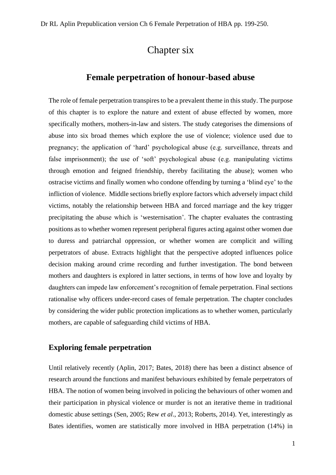# Chapter six

## **Female perpetration of honour-based abuse**

The role of female perpetration transpires to be a prevalent theme in this study. The purpose of this chapter is to explore the nature and extent of abuse effected by women, more specifically mothers, mothers-in-law and sisters. The study categorises the dimensions of abuse into six broad themes which explore the use of violence; violence used due to pregnancy; the application of 'hard' psychological abuse (e.g. surveillance, threats and false imprisonment); the use of 'soft' psychological abuse (e.g. manipulating victims through emotion and feigned friendship, thereby facilitating the abuse); women who ostracise victims and finally women who condone offending by turning a 'blind eye' to the infliction of violence. Middle sections briefly explore factors which adversely impact child victims, notably the relationship between HBA and forced marriage and the key trigger precipitating the abuse which is 'westernisation'. The chapter evaluates the contrasting positions as to whether women represent peripheral figures acting against other women due to duress and patriarchal oppression, or whether women are complicit and willing perpetrators of abuse. Extracts highlight that the perspective adopted influences police decision making around crime recording and further investigation. The bond between mothers and daughters is explored in latter sections, in terms of how love and loyalty by daughters can impede law enforcement's recognition of female perpetration. Final sections rationalise why officers under-record cases of female perpetration. The chapter concludes by considering the wider public protection implications as to whether women, particularly mothers, are capable of safeguarding child victims of HBA.

## **Exploring female perpetration**

Until relatively recently (Aplin, 2017; Bates, 2018) there has been a distinct absence of research around the functions and manifest behaviours exhibited by female perpetrators of HBA. The notion of women being involved in policing the behaviours of other women and their participation in physical violence or murder is not an iterative theme in traditional domestic abuse settings (Sen, 2005; Rew *et al*., 2013; Roberts, 2014). Yet, interestingly as Bates identifies, women are statistically more involved in HBA perpetration (14%) in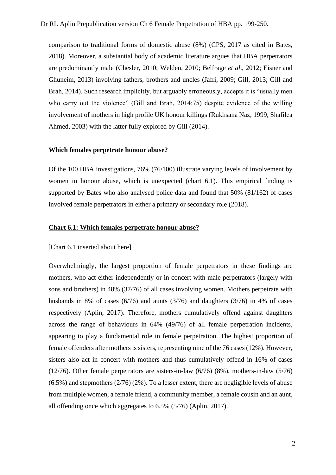comparison to traditional forms of domestic abuse (8%) (CPS, 2017 as cited in Bates, 2018). Moreover, a substantial body of academic literature argues that HBA perpetrators are predominantly male (Chesler, 2010; Welden, 2010; Belfrage *et al*., 2012; Eisner and Ghuneim, 2013) involving fathers, brothers and uncles (Jafri, 2009; Gill, 2013; Gill and Brah, 2014). Such research implicitly, but arguably erroneously, accepts it is "usually men who carry out the violence" (Gill and Brah, 2014:75) despite evidence of the willing involvement of mothers in high profile UK honour killings (Rukhsana Naz, 1999, Shafilea Ahmed, 2003) with the latter fully explored by Gill (2014).

## **Which females perpetrate honour abuse?**

Of the 100 HBA investigations, 76% (76/100) illustrate varying levels of involvement by women in honour abuse, which is unexpected (chart 6.1). This empirical finding is supported by Bates who also analysed police data and found that 50% (81/162) of cases involved female perpetrators in either a primary or secondary role (2018).

## **Chart 6.1: Which females perpetrate honour abuse?**

#### [Chart 6.1 inserted about here]

Overwhelmingly, the largest proportion of female perpetrators in these findings are mothers, who act either independently or in concert with male perpetrators (largely with sons and brothers) in 48% (37/76) of all cases involving women. Mothers perpetrate with husbands in 8% of cases (6/76) and aunts (3/76) and daughters (3/76) in 4% of cases respectively (Aplin, 2017). Therefore, mothers cumulatively offend against daughters across the range of behaviours in 64% (49/76) of all female perpetration incidents, appearing to play a fundamental role in female perpetration. The highest proportion of female offenders after mothers is sisters, representing nine of the 76 cases (12%). However, sisters also act in concert with mothers and thus cumulatively offend in 16% of cases (12/76). Other female perpetrators are sisters-in-law (6/76) (8%), mothers-in-law (5/76) (6.5%) and stepmothers (2/76) (2%). To a lesser extent, there are negligible levels of abuse from multiple women, a female friend, a community member, a female cousin and an aunt, all offending once which aggregates to 6.5% (5/76) (Aplin, 2017).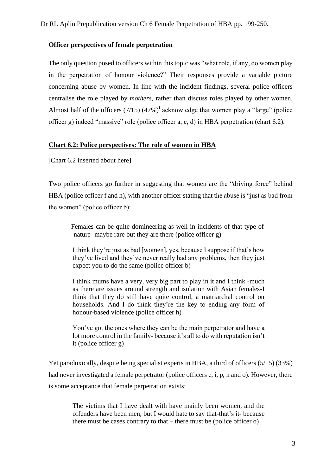## **Officer perspectives of female perpetration**

The only question posed to officers within this topic was "what role, if any, do women play in the perpetration of honour violence?" Their responses provide a variable picture concerning abuse by women. In line with the incident findings, several police officers centralise the role played by *mothers*, rather than discuss roles played by other women. Almost half of the officers  $(7/15)$   $(47%)$ <sup>i</sup> acknowledge that women play a "large" (police officer g) indeed "massive" role (police officer a, c, d) in HBA perpetration (chart 6.2).

## **Chart 6.2: Police perspectives: The role of women in HBA**

[Chart 6.2 inserted about here]

Two police officers go further in suggesting that women are the "driving force" behind HBA (police officer f and h), with another officer stating that the abuse is "just as bad from the women" (police officer b):

Females can be quite domineering as well in incidents of that type of nature- maybe rare but they are there (police officer g)

I think they're just as bad [women], yes, because I suppose if that's how they've lived and they've never really had any problems, then they just expect you to do the same (police officer b)

I think mums have a very, very big part to play in it and I think -much as there are issues around strength and isolation with Asian females-I think that they do still have quite control, a matriarchal control on households. And I do think they're the key to ending any form of honour-based violence (police officer h)

You've got the ones where they can be the main perpetrator and have a lot more control in the family- because it's all to do with reputation isn't it (police officer g)

Yet paradoxically, despite being specialist experts in HBA, a third of officers (5/15) (33%) had never investigated a female perpetrator (police officers e, i, p, n and o). However, there is some acceptance that female perpetration exists:

The victims that I have dealt with have mainly been women, and the offenders have been men, but I would hate to say that-that's it- because there must be cases contrary to that – there must be (police officer o)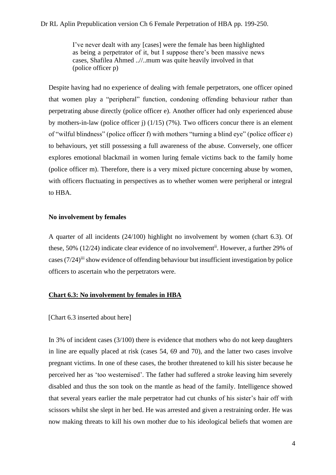## Dr RL Aplin Prepublication version Ch 6 Female Perpetration of HBA pp. 199-250.

I've never dealt with any [cases] were the female has been highlighted as being a perpetrator of it, but I suppose there's been massive news cases, Shafilea Ahmed ..//..mum was quite heavily involved in that (police officer p)

Despite having had no experience of dealing with female perpetrators, one officer opined that women play a "peripheral" function, condoning offending behaviour rather than perpetrating abuse directly (police officer e). Another officer had only experienced abuse by mothers-in-law (police officer j) (1/15) (7%). Two officers concur there is an element of "wilful blindness" (police officer f) with mothers "turning a blind eye" (police officer e) to behaviours, yet still possessing a full awareness of the abuse. Conversely, one officer explores emotional blackmail in women luring female victims back to the family home (police officer m). Therefore, there is a very mixed picture concerning abuse by women, with officers fluctuating in perspectives as to whether women were peripheral or integral to HBA.

#### **No involvement by females**

A quarter of all incidents (24/100) highlight no involvement by women (chart 6.3). Of these, 50% (12/24) indicate clear evidence of no involvement<sup>ii</sup>. However, a further 29% of cases  $(7/24)$ <sup>iii</sup> show evidence of offending behaviour but insufficient investigation by police officers to ascertain who the perpetrators were.

## **Chart 6.3: No involvement by females in HBA**

## [Chart 6.3 inserted about here]

In 3% of incident cases (3/100) there is evidence that mothers who do not keep daughters in line are equally placed at risk (cases 54, 69 and 70), and the latter two cases involve pregnant victims. In one of these cases, the brother threatened to kill his sister because he perceived her as 'too westernised'. The father had suffered a stroke leaving him severely disabled and thus the son took on the mantle as head of the family. Intelligence showed that several years earlier the male perpetrator had cut chunks of his sister's hair off with scissors whilst she slept in her bed. He was arrested and given a restraining order. He was now making threats to kill his own mother due to his ideological beliefs that women are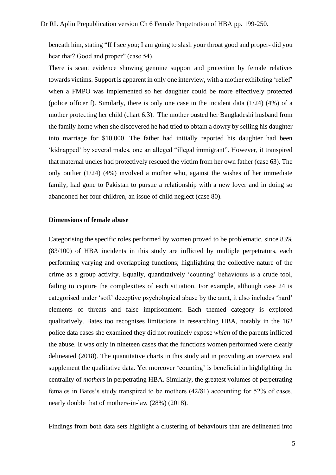beneath him, stating "If I see you; I am going to slash your throat good and proper- did you hear that? Good and proper" (case 54).

There is scant evidence showing genuine support and protection by female relatives towards victims. Support is apparent in only one interview, with a mother exhibiting 'relief' when a FMPO was implemented so her daughter could be more effectively protected (police officer f). Similarly, there is only one case in the incident data (1/24) (4%) of a mother protecting her child (chart 6.3). The mother ousted her Bangladeshi husband from the family home when she discovered he had tried to obtain a dowry by selling his daughter into marriage for \$10,000. The father had initially reported his daughter had been 'kidnapped' by several males, one an alleged "illegal immigrant". However, it transpired that maternal uncles had protectively rescued the victim from her own father (case 63). The only outlier (1/24) (4%) involved a mother who, against the wishes of her immediate family, had gone to Pakistan to pursue a relationship with a new lover and in doing so abandoned her four children, an issue of child neglect (case 80).

## **Dimensions of female abuse**

Categorising the specific roles performed by women proved to be problematic, since 83% (83/100) of HBA incidents in this study are inflicted by multiple perpetrators, each performing varying and overlapping functions; highlighting the collective nature of the crime as a group activity. Equally, quantitatively 'counting' behaviours is a crude tool, failing to capture the complexities of each situation. For example, although case 24 is categorised under 'soft' deceptive psychological abuse by the aunt, it also includes 'hard' elements of threats and false imprisonment. Each themed category is explored qualitatively. Bates too recognises limitations in researching HBA, notably in the 162 police data cases she examined they did not routinely expose *which* of the parents inflicted the abuse. It was only in nineteen cases that the functions women performed were clearly delineated (2018). The quantitative charts in this study aid in providing an overview and supplement the qualitative data. Yet moreover 'counting' is beneficial in highlighting the centrality of *mothers* in perpetrating HBA. Similarly, the greatest volumes of perpetrating females in Bates's study transpired to be mothers (42/81) accounting for 52% of cases, nearly double that of mothers-in-law (28%) (2018).

Findings from both data sets highlight a clustering of behaviours that are delineated into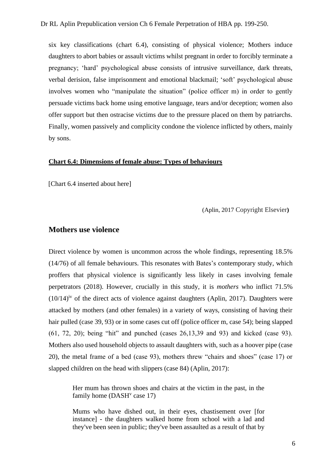six key classifications (chart 6.4), consisting of physical violence; Mothers induce daughters to abort babies or assault victims whilst pregnant in order to forcibly terminate a pregnancy; 'hard' psychological abuse consists of intrusive surveillance, dark threats, verbal derision, false imprisonment and emotional blackmail; 'soft' psychological abuse involves women who "manipulate the situation" (police officer m) in order to gently persuade victims back home using emotive language, tears and/or deception; women also offer support but then ostracise victims due to the pressure placed on them by patriarchs. Finally, women passively and complicity condone the violence inflicted by others, mainly by sons.

#### **Chart 6.4: Dimensions of female abuse: Types of behaviours**

[Chart 6.4 inserted about here]

(Aplin, 2017 Copyright Elsevier**)**

## **Mothers use violence**

Direct violence by women is uncommon across the whole findings, representing 18.5% (14/76) of all female behaviours. This resonates with Bates's contemporary study, which proffers that physical violence is significantly less likely in cases involving female perpetrators (2018). However, crucially in this study, it is *mothers* who inflict 71.5%  $(10/14)^{iv}$  of the direct acts of violence against daughters (Aplin, 2017). Daughters were attacked by mothers (and other females) in a variety of ways, consisting of having their hair pulled (case 39, 93) or in some cases cut off (police officer m, case 54); being slapped (61, 72, 20); being "hit" and punched (cases 26,13,39 and 93) and kicked (case 93). Mothers also used household objects to assault daughters with, such as a hoover pipe (case 20), the metal frame of a bed (case 93), mothers threw "chairs and shoes" (case 17) or slapped children on the head with slippers (case 84) (Aplin, 2017):

Her mum has thrown shoes and chairs at the victim in the past, in the family home  $(DASH<sup>v</sup> case 17)$ 

Mums who have dished out, in their eyes, chastisement over [for instance] - the daughters walked home from school with a lad and they've been seen in public; they've been assaulted as a result of that by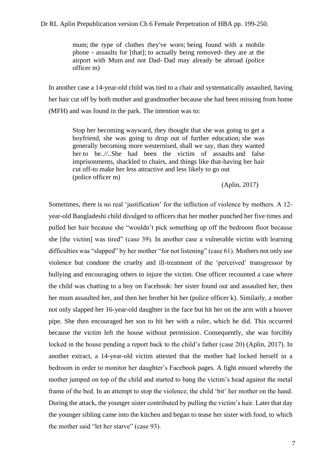mum; the type of clothes they've worn; being found with a mobile phone - assaults for [that]; to actually being removed- they are at the airport with Mum and not Dad- Dad may already be abroad (police officer m)

In another case a 14-year-old child was tied to a chair and systematically assaulted, having her hair cut off by both mother and grandmother because she had been missing from home (MFH) and was found in the park. The intention was to:

Stop her becoming wayward, they thought that she was going to get a boyfriend, she was going to drop out of further education; she was generally becoming more westernised, shall we say, than they wanted her to be..//..She had been the victim of assaults and false imprisonments, shackled to chairs, and things like that-having her hair cut off-to make her less attractive and less likely to go out (police officer m)

(Aplin, 2017)

Sometimes, there is no real 'justification' for the infliction of violence by mothers. A 12 year-old Bangladeshi child divulged to officers that her mother punched her five times and pulled her hair because she "wouldn't pick something up off the bedroom floor because she [the victim] was tired" (case 39). In another case a vulnerable victim with learning difficulties was "slapped" by her mother "for not listening" (case 61). Mothers not only use violence but condone the cruelty and ill-treatment of the 'perceived' transgressor by bullying and encouraging others to injure the victim. One officer recounted a case where the child was chatting to a boy on Facebook: her sister found out and assaulted her, then her mum assaulted her, and then her brother hit her (police officer k). Similarly, a mother not only slapped her 16-year-old daughter in the face but hit her on the arm with a hoover pipe. She then encouraged her son to hit her with a ruler, which he did. This occurred because the victim left the house without permission. Consequently, she was forcibly locked in the house pending a report back to the child's father (case 20) (Aplin, 2017). In another extract, a 14-year-old victim attested that the mother had locked herself in a bedroom in order to monitor her daughter's Facebook pages. A fight ensued whereby the mother jumped on top of the child and started to bang the victim's head against the metal frame of the bed. In an attempt to stop the violence, the child 'bit' her mother on the hand. During the attack, the younger sister contributed by pulling the victim's hair. Later that day the younger sibling came into the kitchen and began to tease her sister with food, to which the mother said "let her starve" (case 93).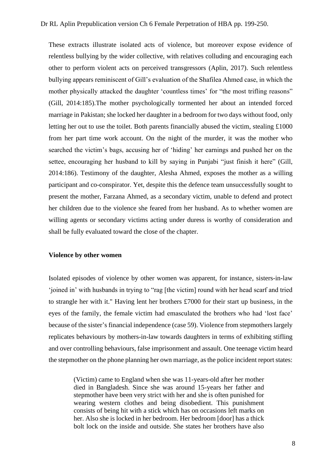These extracts illustrate isolated acts of violence, but moreover expose evidence of relentless bullying by the wider collective, with relatives colluding and encouraging each other to perform violent acts on perceived transgressors (Aplin, 2017). Such relentless bullying appears reminiscent of Gill's evaluation of the Shafilea Ahmed case, in which the mother physically attacked the daughter 'countless times' for "the most trifling reasons" (Gill, 2014:185).The mother psychologically tormented her about an intended forced marriage in Pakistan; she locked her daughter in a bedroom for two days without food, only letting her out to use the toilet. Both parents financially abused the victim, stealing £1000 from her part time work account. On the night of the murder, it was the mother who searched the victim's bags, accusing her of 'hiding' her earnings and pushed her on the settee, encouraging her husband to kill by saying in Punjabi "just finish it here" (Gill, 2014:186). Testimony of the daughter, Alesha Ahmed, exposes the mother as a willing participant and co-conspirator. Yet, despite this the defence team unsuccessfully sought to present the mother, Farzana Ahmed, as a secondary victim, unable to defend and protect her children due to the violence she feared from her husband. As to whether women are willing agents or secondary victims acting under duress is worthy of consideration and shall be fully evaluated toward the close of the chapter.

#### **Violence by other women**

Isolated episodes of violence by other women was apparent, for instance, sisters-in-law 'joined in' with husbands in trying to "rag [the victim] round with her head scarf and tried to strangle her with it." Having lent her brothers £7000 for their start up business, in the eyes of the family, the female victim had emasculated the brothers who had 'lost face' because of the sister's financial independence (case 59). Violence from stepmothers largely replicates behaviours by mothers-in-law towards daughters in terms of exhibiting stifling and over controlling behaviours, false imprisonment and assault. One teenage victim heard the stepmother on the phone planning her own marriage, as the police incident report states:

> (Victim) came to England when she was 11-years-old after her mother died in Bangladesh. Since she was around 15-years her father and stepmother have been very strict with her and she is often punished for wearing western clothes and being disobedient. This punishment consists of being hit with a stick which has on occasions left marks on her. Also she is locked in her bedroom. Her bedroom [door] has a thick bolt lock on the inside and outside. She states her brothers have also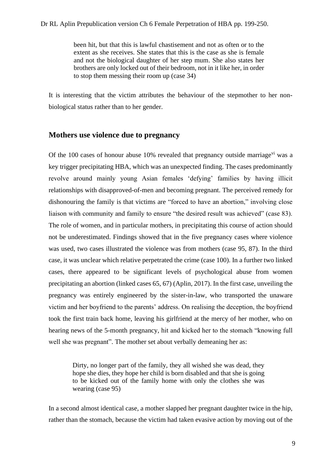been hit, but that this is lawful chastisement and not as often or to the extent as she receives. She states that this is the case as she is female and not the biological daughter of her step mum. She also states her brothers are only locked out of their bedroom, not in it like her, in order to stop them messing their room up (case 34)

It is interesting that the victim attributes the behaviour of the stepmother to her nonbiological status rather than to her gender.

## **Mothers use violence due to pregnancy**

Of the 100 cases of honour abuse 10% revealed that pregnancy outside marriage<sup>vi</sup> was a key trigger precipitating HBA, which was an unexpected finding. The cases predominantly revolve around mainly young Asian females 'defying' families by having illicit relationships with disapproved-of-men and becoming pregnant. The perceived remedy for dishonouring the family is that victims are "forced to have an abortion," involving close liaison with community and family to ensure "the desired result was achieved" (case 83). The role of women, and in particular mothers, in precipitating this course of action should not be underestimated. Findings showed that in the five pregnancy cases where violence was used, two cases illustrated the violence was from mothers (case 95, 87). In the third case, it was unclear which relative perpetrated the crime (case 100). In a further two linked cases, there appeared to be significant levels of psychological abuse from women precipitating an abortion (linked cases 65, 67) (Aplin, 2017). In the first case, unveiling the pregnancy was entirely engineered by the sister-in-law, who transported the unaware victim and her boyfriend to the parents' address. On realising the deception, the boyfriend took the first train back home, leaving his girlfriend at the mercy of her mother, who on hearing news of the 5-month pregnancy, hit and kicked her to the stomach "knowing full well she was pregnant". The mother set about verbally demeaning her as:

Dirty, no longer part of the family, they all wished she was dead, they hope she dies, they hope her child is born disabled and that she is going to be kicked out of the family home with only the clothes she was wearing (case 95)

In a second almost identical case, a mother slapped her pregnant daughter twice in the hip, rather than the stomach, because the victim had taken evasive action by moving out of the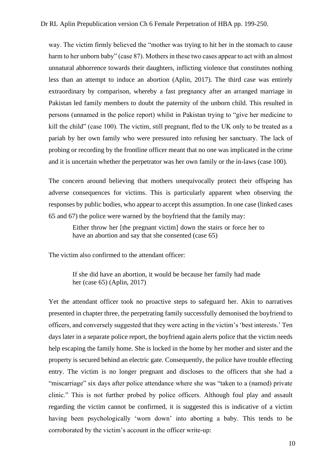way. The victim firmly believed the "mother was trying to hit her in the stomach to cause harm to her unborn baby" (case 87). Mothers in these two cases appear to act with an almost unnatural abhorrence towards their daughters, inflicting violence that constitutes nothing less than an attempt to induce an abortion (Aplin, 2017). The third case was entirely extraordinary by comparison, whereby a fast pregnancy after an arranged marriage in Pakistan led family members to doubt the paternity of the unborn child. This resulted in persons (unnamed in the police report) whilst in Pakistan trying to "give her medicine to kill the child" (case 100). The victim, still pregnant, fled to the UK only to be treated as a pariah by her own family who were pressured into refusing her sanctuary. The lack of probing or recording by the frontline officer meant that no one was implicated in the crime and it is uncertain whether the perpetrator was her own family or the in-laws (case 100).

The concern around believing that mothers unequivocally protect their offspring has adverse consequences for victims. This is particularly apparent when observing the responses by public bodies, who appear to accept this assumption. In one case (linked cases 65 and 67) the police were warned by the boyfriend that the family may:

Either throw her [the pregnant victim] down the stairs or force her to have an abortion and say that she consented (case 65)

The victim also confirmed to the attendant officer:

If she did have an abortion, it would be because her family had made her (case 65) (Aplin, 2017)

Yet the attendant officer took no proactive steps to safeguard her. Akin to narratives presented in chapter three, the perpetrating family successfully demonised the boyfriend to officers, and conversely suggested that they were acting in the victim's 'best interests.' Ten days later in a separate police report, the boyfriend again alerts police that the victim needs help escaping the family home. She is locked in the home by her mother and sister and the property is secured behind an electric gate. Consequently, the police have trouble effecting entry. The victim is no longer pregnant and discloses to the officers that she had a "miscarriage" six days after police attendance where she was "taken to a (named) private clinic." This is not further probed by police officers. Although foul play and assault regarding the victim cannot be confirmed, it is suggested this is indicative of a victim having been psychologically 'worn down' into aborting a baby. This tends to be corroborated by the victim's account in the officer write-up: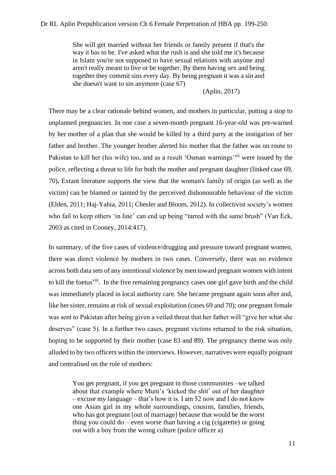She will get married without her friends or family present if that's the way it has to be. I've asked what the rush is and she told me it's because in Islam you're not supposed to have sexual relations with anyone and aren't really meant to live or be together. By them having sex and being together they commit sins every day. By being pregnant it was a sin and she doesn't want to sin anymore (case 67)

(Aplin, 2017)

There may be a clear rationale behind women, and mothers in particular, putting a stop to unplanned pregnancies. In one case a seven-month pregnant 16-year-old was pre-warned by her mother of a plan that she would be killed by a third party at the instigation of her father and brother. The younger brother alerted his mother that the father was on route to Pakistan to kill her (his wife) too, and as a result 'Osman warnings'<sup>vii</sup> were issued by the police, reflecting a threat to life for both the mother and pregnant daughter (linked case 69, 70)**.** Extant literature supports the view that the woman's family of origin (as well as the victim) can be blamed or tainted by the perceived dishonourable behaviour of the victim (Elden, 2011; Haj-Yahia, 2011; Chesler and Bloom, 2012). In collectivist society's women who fail to keep others 'in line' can end up being "tarred with the same brush" (Van Eck, 2003 as cited in Cooney, 2014:417).

In summary, of the five cases of violence/drugging and pressure toward pregnant women, there was direct violence by mothers in two cases. Conversely, there was no evidence across both data sets of any intentional violence by men toward pregnant women with intent to kill the foetus<sup>viii</sup>. In the five remaining pregnancy cases one girl gave birth and the child was immediately placed in local authority care. She became pregnant again soon after and, like her sister, remains at risk of sexual exploitation (cases 69 and 70); one pregnant female was sent to Pakistan after being given a veiled threat that her father will "give her what she deserves" (case 5). In a further two cases, pregnant victims returned to the risk situation, hoping to be supported by their mother (case 83 and 89). The pregnancy theme was only alluded to by two officers within the interviews. However, narratives were equally poignant and centralised on the role of mothers:

You get pregnant, if you get pregnant in those communities –we talked about that example where Mum's 'kicked the shit' out of her daughter – excuse my language – that's how it is. I am 52 now and I do not know one Asian girl in my whole surroundings, cousins, families, friends, who has got pregnant [out of marriage] because that would be the worst thing you could  $do$  – even worse than having a cig (cigarette) or going out with a boy from the wrong culture (police officer a)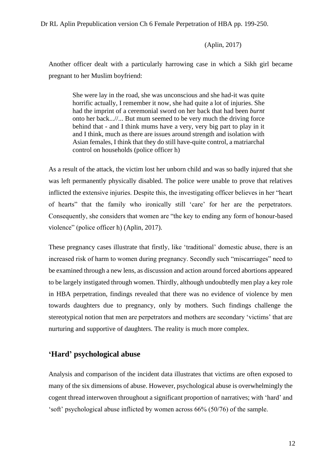Dr RL Aplin Prepublication version Ch 6 Female Perpetration of HBA pp. 199-250.

## (Aplin, 2017)

Another officer dealt with a particularly harrowing case in which a Sikh girl became pregnant to her Muslim boyfriend:

She were lay in the road, she was unconscious and she had-it was quite horrific actually, I remember it now, she had quite a lot of injuries. She had the imprint of a ceremonial sword on her back that had been *burnt*  onto her back...//... But mum seemed to be very much the driving force behind that - and I think mums have a very, very big part to play in it and I think, much as there are issues around strength and isolation with Asian females, I think that they do still have-quite control, a matriarchal control on households (police officer h)

As a result of the attack, the victim lost her unborn child and was so badly injured that she was left permanently physically disabled. The police were unable to prove that relatives inflicted the extensive injuries. Despite this, the investigating officer believes in her "heart of hearts" that the family who ironically still 'care' for her are the perpetrators. Consequently, she considers that women are "the key to ending any form of honour-based violence" (police officer h) (Aplin, 2017).

These pregnancy cases illustrate that firstly, like 'traditional' domestic abuse, there is an increased risk of harm to women during pregnancy. Secondly such "miscarriages" need to be examined through a new lens, as discussion and action around forced abortions appeared to be largely instigated through women. Thirdly, although undoubtedly men play a key role in HBA perpetration, findings revealed that there was no evidence of violence by men towards daughters due to pregnancy, only by mothers. Such findings challenge the stereotypical notion that men are perpetrators and mothers are secondary 'victims' that are nurturing and supportive of daughters. The reality is much more complex.

## **'Hard' psychological abuse**

Analysis and comparison of the incident data illustrates that victims are often exposed to many of the six dimensions of abuse. However, psychological abuse is overwhelmingly the cogent thread interwoven throughout a significant proportion of narratives; with 'hard' and 'soft' psychological abuse inflicted by women across 66% (50/76) of the sample.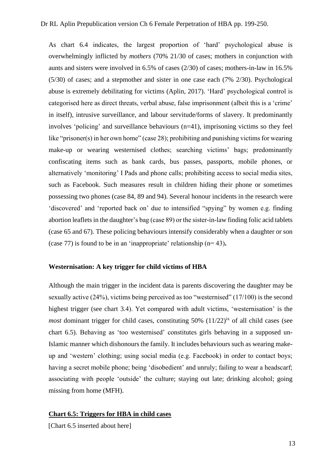As chart 6.4 indicates, the largest proportion of 'hard' psychological abuse is overwhelmingly inflicted by *mothers* (70% 21/30 of cases; mothers in conjunction with aunts and sisters were involved in 6.5% of cases (2/30) of cases; mothers-in-law in 16.5% (5/30) of cases; and a stepmother and sister in one case each (7% 2/30). Psychological abuse is extremely debilitating for victims (Aplin, 2017). 'Hard' psychological control is categorised here as direct threats, verbal abuse, false imprisonment (albeit this is a 'crime' in itself), intrusive surveillance, and labour servitude/forms of slavery. It predominantly involves 'policing' and surveillance behaviours (n=41), imprisoning victims so they feel like "prisoner(s) in her own home" (case 28); prohibiting and punishing victims for wearing make-up or wearing westernised clothes; searching victims' bags; predominantly confiscating items such as bank cards, bus passes, passports, mobile phones, or alternatively 'monitoring' I Pads and phone calls; prohibiting access to social media sites, such as Facebook. Such measures result in children hiding their phone or sometimes possessing two phones (case 84, 89 and 94). Several honour incidents in the research were 'discovered' and 'reported back on' due to intensified "spying" by women e.g. finding abortion leaflets in the daughter's bag (case 89) or the sister-in-law finding folic acid tablets (case 65 and 67). These policing behaviours intensify considerably when a daughter or son (case 77) is found to be in an 'inappropriate' relationship (n= 43)**.** 

### **Westernisation: A key trigger for child victims of HBA**

Although the main trigger in the incident data is parents discovering the daughter may be sexually active (24%), victims being perceived as too "westernised" (17/100) is the second highest trigger (see chart 3.4). Yet compared with adult victims, 'westernisation' is the *most* dominant trigger for child cases, constituting 50%  $(11/22)^{ix}$  of all child cases (see chart 6.5). Behaving as 'too westernised' constitutes girls behaving in a supposed un-Islamic manner which dishonours the family. It includes behaviours such as wearing makeup and 'western' clothing; using social media (e.g. Facebook) in order to contact boys; having a secret mobile phone; being 'disobedient' and unruly; failing to wear a headscarf; associating with people 'outside' the culture; staying out late; drinking alcohol; going missing from home (MFH).

## **Chart 6.5: Triggers for HBA in child cases**

[Chart 6.5 inserted about here]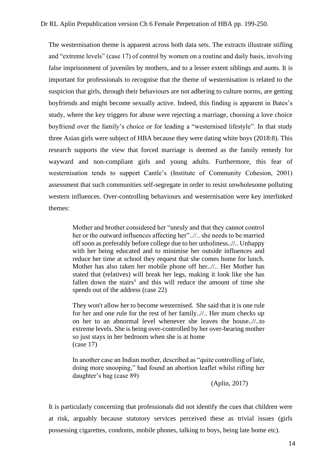The westernisation theme is apparent across both data sets. The extracts illustrate stifling and "extreme levels" (case 17) of control by women on a routine and daily basis, involving false imprisonment of juveniles by mothers, and to a lesser extent siblings and aunts. It is important for professionals to recognise that the theme of westernisation is related to the suspicion that girls, through their behaviours are not adhering to culture norms, are getting boyfriends and might become sexually active. Indeed, this finding is apparent in Bates's study, where the key triggers for abuse were rejecting a marriage, choosing a love choice boyfriend over the family's choice or for leading a "westernised lifestyle". In that study three Asian girls were subject of HBA because they were dating white boys (2018:8). This research supports the view that forced marriage is deemed as the family remedy for wayward and non-compliant girls and young adults. Furthermore, this fear of westernisation tends to support Cantle's (Institute of Community Cohesion, 2001) assessment that such communities self-segregate in order to resist unwholesome polluting western influences. Over-controlling behaviours and westernisation were key interlinked themes:

Mother and brother considered her "unruly and that they cannot control her or the outward influences affecting her"..//.. she needs to be married off soon as preferably before college due to her unholiness..//.. Unhappy with her being educated and to minimise her outside influences and reduce her time at school they request that she comes home for lunch. Mother has also taken her mobile phone off her..//.. Her Mother has stated that (relatives) will break her legs, making it look like she has fallen down the stairs<sup>x</sup> and this will reduce the amount of time she spends out of the address (case 22)

They won't allow her to become westernised. She said that it is one rule for her and one rule for the rest of her family..//.. Her mum checks up on her to an abnormal level whenever she leaves the house..//..to extreme levels. She is being over-controlled by her over-bearing mother so just stays in her bedroom when she is at home (case 17)

In another case an Indian mother, described as "quite controlling of late, doing more snooping," had found an abortion leaflet whilst rifling her daughter's bag (case 89)

(Aplin, 2017)

It is particularly concerning that professionals did not identify the cues that children were at risk, arguably because statutory services perceived these as trivial issues (girls possessing cigarettes, condoms, mobile phones, talking to boys, being late home etc).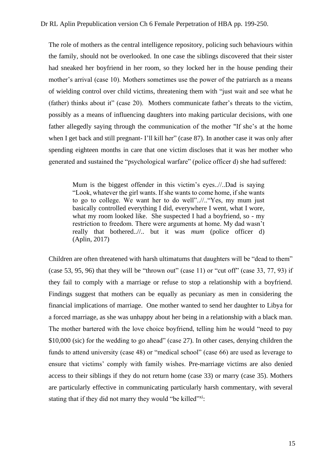The role of mothers as the central intelligence repository, policing such behaviours within the family, should not be overlooked. In one case the siblings discovered that their sister had sneaked her boyfriend in her room, so they locked her in the house pending their mother's arrival (case 10). Mothers sometimes use the power of the patriarch as a means of wielding control over child victims, threatening them with "just wait and see what he (father) thinks about it" (case 20). Mothers communicate father's threats to the victim, possibly as a means of influencing daughters into making particular decisions, with one father allegedly saying through the communication of the mother "If she's at the home when I get back and still pregnant- I'll kill her" (case 87). In another case it was only after spending eighteen months in care that one victim discloses that it was her mother who generated and sustained the "psychological warfare" (police officer d) she had suffered:

Mum is the biggest offender in this victim's eyes..//..Dad is saying "Look, whatever the girl wants. If she wants to come home, if she wants to go to college. We want her to do well"..//.."Yes, my mum just basically controlled everything I did, everywhere I went, what I wore, what my room looked like. She suspected I had a boyfriend, so - my restriction to freedom. There were arguments at home. My dad wasn't really that bothered..//.. but it was *mum* (police officer d) (Aplin, 2017)

Children are often threatened with harsh ultimatums that daughters will be "dead to them" (case 53, 95, 96) that they will be "thrown out" (case 11) or "cut off" (case 33, 77, 93) if they fail to comply with a marriage or refuse to stop a relationship with a boyfriend. Findings suggest that mothers can be equally as pecuniary as men in considering the financial implications of marriage. One mother wanted to send her daughter to Libya for a forced marriage, as she was unhappy about her being in a relationship with a black man. The mother bartered with the love choice boyfriend, telling him he would "need to pay \$10,000 (sic) for the wedding to go ahead" (case 27). In other cases, denying children the funds to attend university (case 48) or "medical school" (case 66) are used as leverage to ensure that victims' comply with family wishes. Pre-marriage victims are also denied access to their siblings if they do not return home (case 33) or marry (case 35). Mothers are particularly effective in communicating particularly harsh commentary, with several stating that if they did not marry they would "be killed"<sup>xi</sup>: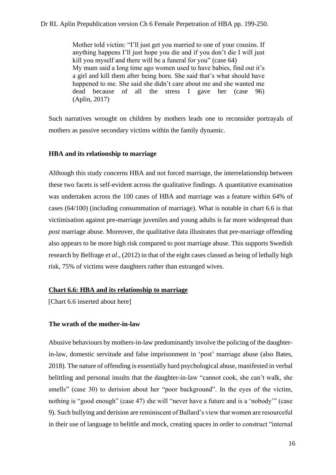Mother told victim: "I'll just get you married to one of your cousins. If anything happens I'll just hope you die and if you don't die I will just kill you myself and there will be a funeral for you" (case 64) My mum said a long time ago women used to have babies, find out it's a girl and kill them after being born. She said that's what should have happened to me. She said she didn't care about me and she wanted me dead because of all the stress I gave her (case 96) (Aplin, 2017)

Such narratives wrought on children by mothers leads one to reconsider portrayals of mothers as passive secondary victims within the family dynamic.

## **HBA and its relationship to marriage**

Although this study concerns HBA and not forced marriage, the interrelationship between these two facets is self-evident across the qualitative findings. A quantitative examination was undertaken across the 100 cases of HBA and marriage was a feature within 64% of cases (64/100) (including consummation of marriage). What is notable in chart 6.6 is that victimisation against pre-marriage juveniles and young adults is far more widespread than *post* marriage abuse. Moreover, the qualitative data illustrates that pre-marriage offending also appears to be more high risk compared to post marriage abuse. This supports Swedish research by Belfrage *et al*., (2012) in that of the eight cases classed as being of lethally high risk, 75% of victims were daughters rather than estranged wives.

## **Chart 6.6: HBA and its relationship to marriage**

[Chart 6.6 inserted about here]

#### **The wrath of the mother-in-law**

Abusive behaviours by mothers-in-law predominantly involve the policing of the daughterin-law, domestic servitude and false imprisonment in 'post' marriage abuse (also Bates, 2018). The nature of offending is essentially hard psychological abuse, manifested in verbal belittling and personal insults that the daughter-in-law "cannot cook, she can't walk, she smells" (case 30) to derision about her "poor background". In the eyes of the victim, nothing is "good enough" (case 47) she will "never have a future and is a 'nobody'" (case 9). Such bullying and derision are reminiscent of Ballard's view that women are resourceful in their use of language to belittle and mock, creating spaces in order to construct "internal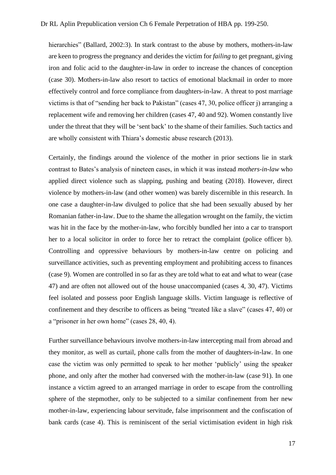hierarchies" (Ballard, 2002:3). In stark contrast to the abuse by mothers, mothers-in-law are keen to progress the pregnancy and derides the victim for *failing* to get pregnant, giving iron and folic acid to the daughter-in-law in order to increase the chances of conception (case 30). Mothers-in-law also resort to tactics of emotional blackmail in order to more effectively control and force compliance from daughters-in-law. A threat to post marriage victims is that of "sending her back to Pakistan" (cases 47, 30, police officer j) arranging a replacement wife and removing her children (cases 47, 40 and 92). Women constantly live under the threat that they will be 'sent back' to the shame of their families. Such tactics and are wholly consistent with Thiara's domestic abuse research (2013).

Certainly, the findings around the violence of the mother in prior sections lie in stark contrast to Bates's analysis of nineteen cases, in which it was instead *mothers-in-law* who applied direct violence such as slapping, pushing and beating (2018). However, direct violence by mothers-in-law (and other women) was barely discernible in this research. In one case a daughter-in-law divulged to police that she had been sexually abused by her Romanian father-in-law. Due to the shame the allegation wrought on the family, the victim was hit in the face by the mother-in-law, who forcibly bundled her into a car to transport her to a local solicitor in order to force her to retract the complaint (police officer b). Controlling and oppressive behaviours by mothers-in-law centre on policing and surveillance activities, such as preventing employment and prohibiting access to finances (case 9). Women are controlled in so far as they are told what to eat and what to wear (case 47) and are often not allowed out of the house unaccompanied (cases 4, 30, 47). Victims feel isolated and possess poor English language skills. Victim language is reflective of confinement and they describe to officers as being "treated like a slave" (cases 47, 40) or a "prisoner in her own home" (cases 28, 40, 4).

Further surveillance behaviours involve mothers-in-law intercepting mail from abroad and they monitor, as well as curtail, phone calls from the mother of daughters-in-law. In one case the victim was only permitted to speak to her mother 'publicly' using the speaker phone, and only after the mother had conversed with the mother-in-law (case 91). In one instance a victim agreed to an arranged marriage in order to escape from the controlling sphere of the stepmother, only to be subjected to a similar confinement from her new mother-in-law, experiencing labour servitude, false imprisonment and the confiscation of bank cards (case 4). This is reminiscent of the serial victimisation evident in high risk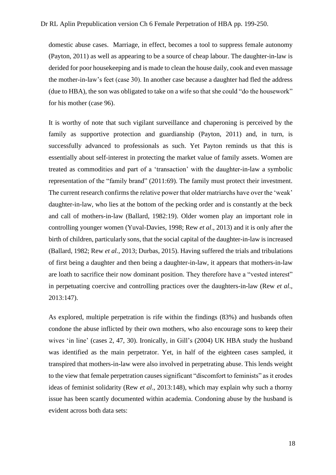domestic abuse cases. Marriage, in effect, becomes a tool to suppress female autonomy (Payton, 2011) as well as appearing to be a source of cheap labour. The daughter-in-law is derided for poor housekeeping and is made to clean the house daily, cook and even massage the mother-in-law's feet (case 30). In another case because a daughter had fled the address (due to HBA), the son was obligated to take on a wife so that she could "do the housework" for his mother (case 96).

It is worthy of note that such vigilant surveillance and chaperoning is perceived by the family as supportive protection and guardianship (Payton, 2011) and, in turn, is successfully advanced to professionals as such. Yet Payton reminds us that this is essentially about self-interest in protecting the market value of family assets. Women are treated as commodities and part of a 'transaction' with the daughter-in-law a symbolic representation of the "family brand" (2011:69). The family must protect their investment. The current research confirms the relative power that older matriarchs have over the 'weak' daughter-in-law, who lies at the bottom of the pecking order and is constantly at the beck and call of mothers-in-law (Ballard, 1982:19). Older women play an important role in controlling younger women (Yuval-Davies, 1998; Rew *et al*., 2013) and it is only after the birth of children, particularly sons, that the social capital of the daughter-in-law is increased (Ballard, 1982; Rew *et al.*, 2013; Durbas, 2015). Having suffered the trials and tribulations of first being a daughter and then being a daughter-in-law, it appears that mothers-in-law are loath to sacrifice their now dominant position. They therefore have a "vested interest" in perpetuating coercive and controlling practices over the daughters-in-law (Rew *et al*., 2013:147).

As explored, multiple perpetration is rife within the findings (83%) and husbands often condone the abuse inflicted by their own mothers, who also encourage sons to keep their wives 'in line' (cases 2, 47, 30). Ironically, in Gill's (2004) UK HBA study the husband was identified as the main perpetrator. Yet, in half of the eighteen cases sampled, it transpired that mothers-in-law were also involved in perpetrating abuse. This lends weight to the view that female perpetration causes significant "discomfort to feminists" as it erodes ideas of feminist solidarity (Rew *et al*., 2013:148), which may explain why such a thorny issue has been scantly documented within academia. Condoning abuse by the husband is evident across both data sets: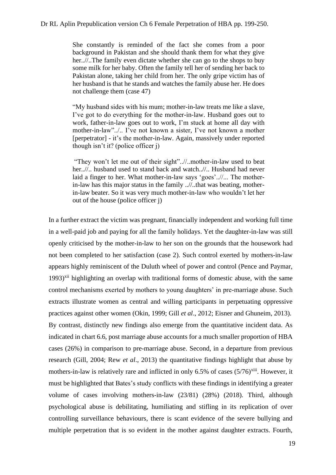She constantly is reminded of the fact she comes from a poor background in Pakistan and she should thank them for what they give her..//..The family even dictate whether she can go to the shops to buy some milk for her baby. Often the family tell her of sending her back to Pakistan alone, taking her child from her. The only gripe victim has of her husband is that he stands and watches the family abuse her. He does not challenge them (case 47)

"My husband sides with his mum; mother-in-law treats me like a slave, I've got to do everything for the mother-in-law. Husband goes out to work, father-in-law goes out to work, I'm stuck at home all day with mother-in-law"../.. I've not known a sister, I've not known a mother [perpetrator] - it's the mother-in-law. Again, massively under reported though isn't it? (police officer j)

"They won't let me out of their sight"..//..mother-in-law used to beat her..//.. husband used to stand back and watch..//.. Husband had never laid a finger to her. What mother-in-law says 'goes'..//... The motherin-law has this major status in the family ..//..that was beating, motherin-law beater. So it was very much mother-in-law who wouldn't let her out of the house (police officer j)

In a further extract the victim was pregnant, financially independent and working full time in a well-paid job and paying for all the family holidays. Yet the daughter-in-law was still openly criticised by the mother-in-law to her son on the grounds that the housework had not been completed to her satisfaction (case 2). Such control exerted by mothers-in-law appears highly reminiscent of the Duluth wheel of power and control (Pence and Paymar, 1993)<sup>xii</sup> highlighting an overlap with traditional forms of domestic abuse, with the same control mechanisms exerted by mothers to young daughters' in pre-marriage abuse. Such extracts illustrate women as central and willing participants in perpetuating oppressive practices against other women (Okin, 1999; Gill *et al*., 2012; Eisner and Ghuneim, 2013). By contrast, distinctly new findings also emerge from the quantitative incident data. As indicated in chart 6.6, post marriage abuse accounts for a much smaller proportion of HBA cases (26%) in comparison to pre-marriage abuse. Second, in a departure from previous research (Gill, 2004; Rew *et al*., 2013) the quantitative findings highlight that abuse by mothers-in-law is relatively rare and inflicted in only 6.5% of cases  $(5/76)^{xiii}$ . However, it must be highlighted that Bates's study conflicts with these findings in identifying a greater volume of cases involving mothers-in-law (23/81) (28%) (2018). Third, although psychological abuse is debilitating, humiliating and stifling in its replication of over controlling surveillance behaviours, there is scant evidence of the severe bullying and multiple perpetration that is so evident in the mother against daughter extracts. Fourth,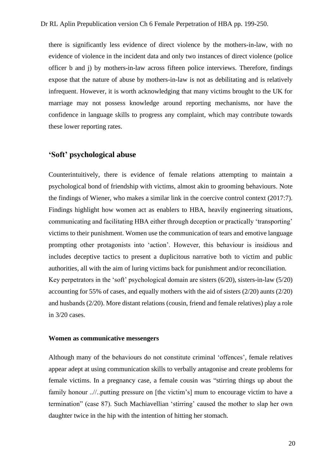there is significantly less evidence of direct violence by the mothers-in-law, with no evidence of violence in the incident data and only two instances of direct violence (police officer b and j) by mothers-in-law across fifteen police interviews. Therefore, findings expose that the nature of abuse by mothers-in-law is not as debilitating and is relatively infrequent. However, it is worth acknowledging that many victims brought to the UK for marriage may not possess knowledge around reporting mechanisms, nor have the confidence in language skills to progress any complaint, which may contribute towards these lower reporting rates.

## **'Soft' psychological abuse**

Counterintuitively, there is evidence of female relations attempting to maintain a psychological bond of friendship with victims, almost akin to grooming behaviours. Note the findings of Wiener, who makes a similar link in the coercive control context (2017:7). Findings highlight how women act as enablers to HBA, heavily engineering situations, communicating and facilitating HBA either through deception or practically 'transporting' victims to their punishment. Women use the communication of tears and emotive language prompting other protagonists into 'action'. However, this behaviour is insidious and includes deceptive tactics to present a duplicitous narrative both to victim and public authorities, all with the aim of luring victims back for punishment and/or reconciliation. Key perpetrators in the 'soft' psychological domain are sisters (6/20), sisters-in-law (5/20) accounting for 55% of cases, and equally mothers with the aid of sisters (2/20) aunts (2/20) and husbands (2/20). More distant relations (cousin, friend and female relatives) play a role in 3/20 cases.

### **Women as communicative messengers**

Although many of the behaviours do not constitute criminal 'offences', female relatives appear adept at using communication skills to verbally antagonise and create problems for female victims. In a pregnancy case, a female cousin was "stirring things up about the family honour ..//..putting pressure on [the victim's] mum to encourage victim to have a termination" (case 87). Such Machiavellian 'stirring' caused the mother to slap her own daughter twice in the hip with the intention of hitting her stomach.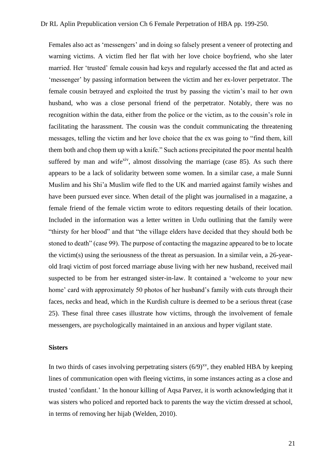Females also act as 'messengers' and in doing so falsely present a veneer of protecting and warning victims. A victim fled her flat with her love choice boyfriend, who she later married. Her 'trusted' female cousin had keys and regularly accessed the flat and acted as 'messenger' by passing information between the victim and her ex-lover perpetrator. The female cousin betrayed and exploited the trust by passing the victim's mail to her own husband, who was a close personal friend of the perpetrator. Notably, there was no recognition within the data*,* either from the police or the victim, as to the cousin's role in facilitating the harassment. The cousin was the conduit communicating the threatening messages, telling the victim and her love choice that the ex was going to "find them, kill them both and chop them up with a knife." Such actions precipitated the poor mental health suffered by man and wife<sup>xiv</sup>, almost dissolving the marriage (case  $85$ ). As such there appears to be a lack of solidarity between some women. In a similar case, a male Sunni Muslim and his Shi'a Muslim wife fled to the UK and married against family wishes and have been pursued ever since. When detail of the plight was journalised in a magazine, a female friend of the female victim wrote to editors requesting details of their location. Included in the information was a letter written in Urdu outlining that the family were "thirsty for her blood" and that "the village elders have decided that they should both be stoned to death" (case 99). The purpose of contacting the magazine appeared to be to locate the victim(s) using the seriousness of the threat as persuasion. In a similar vein, a 26-yearold Iraqi victim of post forced marriage abuse living with her new husband, received mail suspected to be from her estranged sister-in-law. It contained a 'welcome to your new home' card with approximately 50 photos of her husband's family with cuts through their faces, necks and head, which in the Kurdish culture is deemed to be a serious threat (case 25). These final three cases illustrate how victims, through the involvement of female messengers, are psychologically maintained in an anxious and hyper vigilant state.

### **Sisters**

In two thirds of cases involving perpetrating sisters  $(6/9)^{xy}$ , they enabled HBA by keeping lines of communication open with fleeing victims, in some instances acting as a close and trusted 'confidant.' In the honour killing of Aqsa Parvez, it is worth acknowledging that it was sisters who policed and reported back to parents the way the victim dressed at school, in terms of removing her hijab (Welden, 2010).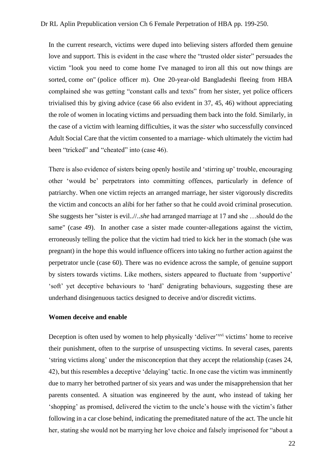In the current research, victims were duped into believing sisters afforded them genuine love and support. This is evident in the case where the "trusted older sister" persuades the victim "look you need to come home I've managed to iron all this out now things are sorted, come on" (police officer m). One 20-year-old Bangladeshi fleeing from HBA complained she was getting "constant calls and texts" from her sister, yet police officers trivialised this by giving advice (case 66 also evident in 37, 45, 46) without appreciating the role of women in locating victims and persuading them back into the fold. Similarly, in the case of a victim with learning difficulties, it was the *sister* who successfully convinced Adult Social Care that the victim consented to a marriage- which ultimately the victim had been "tricked" and "cheated" into (case 46).

There is also evidence of sisters being openly hostile and 'stirring up' trouble, encouraging other 'would be' perpetrators into committing offences, particularly in defence of patriarchy. When one victim rejects an arranged marriage, her sister vigorously discredits the victim and concocts an alibi for her father so that he could avoid criminal prosecution. She suggests her "sister is evil..//..*she* had arranged marriage at 17 and she …should do the same" (case 49). In another case a sister made counter-allegations against the victim, erroneously telling the police that the victim had tried to kick her in the stomach (she was pregnant) in the hope this would influence officers into taking no further action against the perpetrator uncle (case 60). There was no evidence across the sample, of genuine support by sisters towards victims. Like mothers, sisters appeared to fluctuate from 'supportive' 'soft' yet deceptive behaviours to 'hard' denigrating behaviours, suggesting these are underhand disingenuous tactics designed to deceive and/or discredit victims.

### **Women deceive and enable**

Deception is often used by women to help physically 'deliver'<sup>xvi</sup> victims' home to receive their punishment, often to the surprise of unsuspecting victims. In several cases, parents 'string victims along' under the misconception that they accept the relationship (cases 24, 42), but this resembles a deceptive 'delaying' tactic. In one case the victim was imminently due to marry her betrothed partner of six years and was under the misapprehension that her parents consented. A situation was engineered by the aunt, who instead of taking her 'shopping' as promised, delivered the victim to the uncle's house with the victim's father following in a car close behind, indicating the premeditated nature of the act. The uncle hit her, stating she would not be marrying her love choice and falsely imprisoned for "about a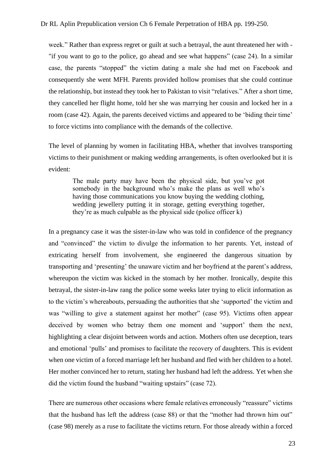week." Rather than express regret or guilt at such a betrayal, the aunt threatened her with - "if you want to go to the police, go ahead and see what happens" (case 24). In a similar case, the parents "stopped" the victim dating a male she had met on Facebook and consequently she went MFH. Parents provided hollow promises that she could continue the relationship, but instead they took her to Pakistan to visit "relatives." After a short time, they cancelled her flight home, told her she was marrying her cousin and locked her in a room (case 42). Again, the parents deceived victims and appeared to be 'biding their time' to force victims into compliance with the demands of the collective.

The level of planning by women in facilitating HBA, whether that involves transporting victims to their punishment or making wedding arrangements, is often overlooked but it is evident:

The male party may have been the physical side, but you've got somebody in the background who's make the plans as well who's having those communications you know buying the wedding clothing, wedding jewellery putting it in storage, getting everything together, they're as much culpable as the physical side (police officer k)

In a pregnancy case it was the sister-in-law who was told in confidence of the pregnancy and "convinced" the victim to divulge the information to her parents. Yet, instead of extricating herself from involvement, she engineered the dangerous situation by transporting and 'presenting' the unaware victim and her boyfriend at the parent's address, whereupon the victim was kicked in the stomach by her mother. Ironically, despite this betrayal, the sister-in-law rang the police some weeks later trying to elicit information as to the victim's whereabouts, persuading the authorities that she 'supported' the victim and was "willing to give a statement against her mother" (case 95). Victims often appear deceived by women who betray them one moment and 'support' them the next, highlighting a clear disjoint between words and action. Mothers often use deception, tears and emotional 'pulls' and promises to facilitate the recovery of daughters. This is evident when one victim of a forced marriage left her husband and fled with her children to a hotel. Her mother convinced her to return, stating her husband had left the address. Yet when she did the victim found the husband "waiting upstairs" (case 72).

There are numerous other occasions where female relatives erroneously "reassure" victims that the husband has left the address (case 88) or that the "mother had thrown him out" (case 98) merely as a ruse to facilitate the victims return. For those already within a forced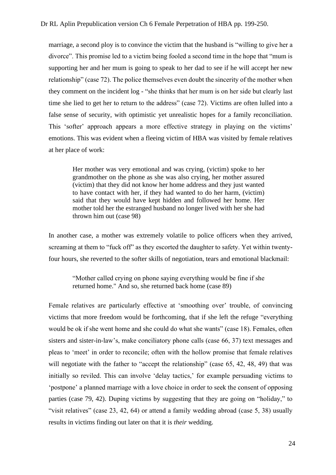marriage, a second ploy is to convince the victim that the husband is "willing to give her a divorce". This promise led to a victim being fooled a second time in the hope that "mum is supporting her and her mum is going to speak to her dad to see if he will accept her new relationship" (case 72). The police themselves even doubt the sincerity of the mother when they comment on the incident log - "she thinks that her mum is on her side but clearly last time she lied to get her to return to the address" (case 72). Victims are often lulled into a false sense of security, with optimistic yet unrealistic hopes for a family reconciliation. This 'softer' approach appears a more effective strategy in playing on the victims' emotions. This was evident when a fleeing victim of HBA was visited by female relatives at her place of work:

Her mother was very emotional and was crying, (victim) spoke to her grandmother on the phone as she was also crying, her mother assured (victim) that they did not know her home address and they just wanted to have contact with her, if they had wanted to do her harm, (victim) said that they would have kept hidden and followed her home. Her mother told her the estranged husband no longer lived with her she had thrown him out (case 98)

In another case, a mother was extremely volatile to police officers when they arrived, screaming at them to "fuck off" as they escorted the daughter to safety. Yet within twentyfour hours, she reverted to the softer skills of negotiation, tears and emotional blackmail:

"Mother called crying on phone saying everything would be fine if she returned home." And so, she returned back home (case 89)

Female relatives are particularly effective at 'smoothing over' trouble, of convincing victims that more freedom would be forthcoming, that if she left the refuge "everything would be ok if she went home and she could do what she wants" (case 18). Females, often sisters and sister-in-law's, make conciliatory phone calls (case 66, 37) text messages and pleas to 'meet' in order to reconcile; often with the hollow promise that female relatives will negotiate with the father to "accept the relationship" (case 65, 42, 48, 49) that was initially so reviled. This can involve 'delay tactics,' for example persuading victims to 'postpone' a planned marriage with a love choice in order to seek the consent of opposing parties (case 79, 42). Duping victims by suggesting that they are going on "holiday," to "visit relatives" (case 23, 42, 64) or attend a family wedding abroad (case 5, 38) usually results in victims finding out later on that it is *their* wedding.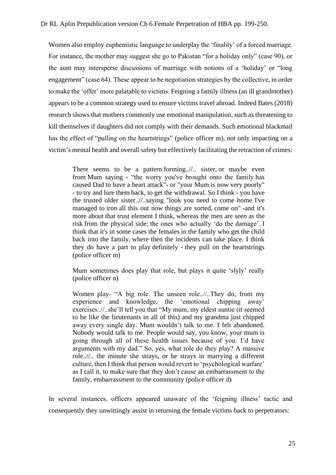Women also employ euphemistic language to underplay the 'finality' of a forced marriage. For instance, the mother may suggest she go to Pakistan "for a holiday only" (case 90), or the aunt may intersperse discussions of marriage with notions of a 'holiday' or "long engagement" (case 64). These appear to be negotiation strategies by the collective, in order to make the 'offer' more palatable to victims. Feigning a family illness (an ill grandmother) appears to be a common strategy used to ensure victims travel abroad. Indeed Bates (2018) research shows that mothers commonly use emotional manipulation, such as threatening to kill themselves if daughters did not comply with their demands. Such emotional blackmail has the effect of "pulling on the heartstrings" (police officer m), not only impacting on a victim's mental health and overall safety but effectively facilitating the retraction of crimes:

There seems to be a pattern forming..... sister, or maybe even from Mum saying - "the worry you've brought onto the family has caused Dad to have a heart attack"- or "your Mum is now very poorly" - to try and lure them back, to get the withdrawal. So I think - you have the trusted older sister..//..saying "look you need to come home I've managed to iron all this out now things are sorted, come on" -and it's more about that trust element I think, whereas the men are seen as the risk from the physical side; the ones who actually 'do the damage'. I think that it's in some cases the females in the family who get the child back into the family, where then the incidents can take place. I think they do have a part to play definitely - they pull on the heartstrings (police officer m)

Mum sometimes does play that role, but plays it quite 'slyly' really (police officer n)

Women play- "A big role. The unseen role..//..They do, from my experience and knowledge, the 'emotional chipping away' exercises..//..she'll tell you that "My mum, my eldest auntie (it seemed to be like the lieutenants in all of this) and my grandma just chipped away every single day. Mum wouldn't talk to me. I felt abandoned. Nobody would talk to me. People would say, you know, your mum is going through all of these health issues because of you. I'd have arguments with my dad." So, yes, what role do they play? A massive role..//.. the minute she strays, or he strays in marrying a different culture, then I think that person would revert to 'psychological warfare' as I call it, to make sure that they don't cause an embarrassment to the family, embarrassment to the community (police officer d)

In several instances, officers appeared unaware of the 'feigning illness' tactic and consequently they unwittingly assist in returning the female victims back to perpetrators: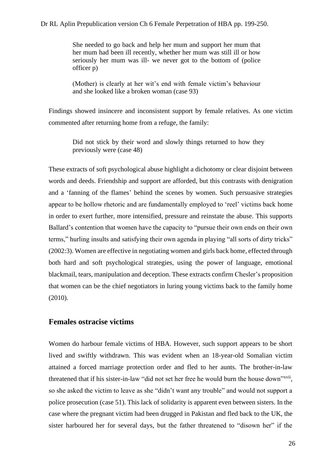She needed to go back and help her mum and support her mum that her mum had been ill recently, whether her mum was still ill or how seriously her mum was ill- we never got to the bottom of (police officer p)

(Mother) is clearly at her wit's end with female victim's behaviour and she looked like a broken woman (case 93)

Findings showed insincere and inconsistent support by female relatives. As one victim commented after returning home from a refuge, the family:

Did not stick by their word and slowly things returned to how they previously were (case 48)

These extracts of soft psychological abuse highlight a dichotomy or clear disjoint between words and deeds. Friendship and support are afforded, but this contrasts with denigration and a 'fanning of the flames' behind the scenes by women. Such persuasive strategies appear to be hollow rhetoric and are fundamentally employed to 'reel' victims back home in order to exert further, more intensified, pressure and reinstate the abuse. This supports Ballard's contention that women have the capacity to "pursue their own ends on their own terms," hurling insults and satisfying their own agenda in playing "all sorts of dirty tricks" (2002:3). Women are effective in negotiating women and girls back home, effected through both hard and soft psychological strategies, using the power of language, emotional blackmail, tears, manipulation and deception. These extracts confirm Chesler's proposition that women can be the chief negotiators in luring young victims back to the family home (2010).

## **Females ostracise victims**

Women do harbour female victims of HBA. However, such support appears to be short lived and swiftly withdrawn. This was evident when an 18-year-old Somalian victim attained a forced marriage protection order and fled to her aunts. The brother-in-law threatened that if his sister-in-law "did not set her free he would burn the house down"<sup>xvii</sup>, so she asked the victim to leave as she "didn't want any trouble" and would not support a police prosecution (case 51). This lack of solidarity is apparent even between sisters. In the case where the pregnant victim had been drugged in Pakistan and fled back to the UK, the sister harboured her for several days, but the father threatened to "disown her" if the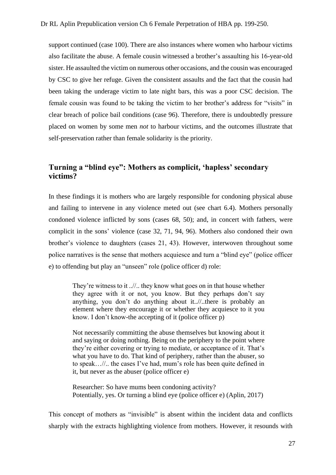support continued (case 100). There are also instances where women who harbour victims also facilitate the abuse. A female cousin witnessed a brother's assaulting his 16-year-old sister. He assaulted the victim on numerous other occasions, and the cousin was encouraged by CSC to give her refuge. Given the consistent assaults and the fact that the cousin had been taking the underage victim to late night bars, this was a poor CSC decision. The female cousin was found to be taking the victim to her brother's address for "visits" in clear breach of police bail conditions (case 96). Therefore, there is undoubtedly pressure placed on women by some men *not* to harbour victims, and the outcomes illustrate that self-preservation rather than female solidarity is the priority.

## **Turning a "blind eye": Mothers as complicit, 'hapless' secondary victims?**

In these findings it is mothers who are largely responsible for condoning physical abuse and failing to intervene in any violence meted out (see chart 6.4). Mothers personally condoned violence inflicted by sons (cases 68, 50); and, in concert with fathers, were complicit in the sons' violence (case 32, 71, 94, 96). Mothers also condoned their own brother's violence to daughters (cases 21, 43). However, interwoven throughout some police narratives is the sense that mothers acquiesce and turn a "blind eye" (police officer e) to offending but play an "unseen" role (police officer d) role:

They're witness to it ..... they know what goes on in that house whether they agree with it or not, you know. But they perhaps don't say anything, you don't do anything about it..//..there is probably an element where they encourage it or whether they acquiesce to it you know. I don't know-the accepting of it (police officer p)

Not necessarily committing the abuse themselves but knowing about it and saying or doing nothing. Being on the periphery to the point where they're either covering or trying to mediate, or acceptance of it. That's what you have to do. That kind of periphery, rather than the abuser, so to speak…//.. the cases I've had, mum's role has been quite defined in it, but never as the abuser (police officer e)

Researcher: So have mums been condoning activity? Potentially, yes. Or turning a blind eye (police officer e) (Aplin, 2017)

This concept of mothers as "invisible" is absent within the incident data and conflicts sharply with the extracts highlighting violence from mothers. However, it resounds with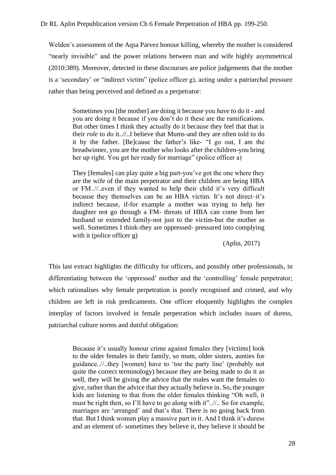Welden's assessment of the Aqsa Parvez honour killing, whereby the mother is considered "nearly invisible" and the power relations between man and wife highly asymmetrical (2010:389). Moreover, detected in these discourses are police judgements that the mother is a 'secondary' or "indirect victim" (police officer g), acting under a patriarchal pressure rather than being perceived and defined as a perpetrator:

Sometimes you [the mother] are doing it because you *have t*o do it - and you are doing it because if you don't do it these are the ramifications. But other times I think they actually do it because they feel that that is their *role* to do it..//..I believe that Mums-and they are often told to do it by the father. [Be]cause the father's like- "I go out, I am the breadwinner, you are the mother who looks after the children-you bring her up right. You get her ready for marriage" (police officer a)

They [females] can play quite a big part-you've got the one where they are the wife of the main perpetrator and their children are being HBA or FM..//..even if they wanted to help their child it's very difficult because they themselves can be an HBA victim. It's not direct–it's indirect because, if-for example a mother was trying to help her daughter not go through a FM- threats of HBA can come from her husband or extended family-not just to the victim-but the mother as well. Sometimes I think-they are oppressed- pressured into complying with it (police officer g)

(Aplin, 2017)

This last extract highlights the difficulty for officers, and possibly other professionals, in differentiating between the 'oppressed' mother and the 'controlling' female perpetrator; which rationalises why female perpetration is poorly recognised and crimed, and why children are left in risk predicaments. One officer eloquently highlights the complex interplay of factors involved in female perpetration which includes issues of duress, patriarchal culture norms and dutiful obligation:

Because it's usually honour crime against females they [victims] look to the older females in their family, so mum, older sisters, aunties for guidance..//..they [women] have to 'toe the party line' (probably not quite the correct terminology) because they are being made to do it as well, they will be giving the advice that the males want the females to give, rather than the advice that they actually believe in. So, the younger kids are listening to that from the older females thinking "Oh well, it must be right then, so I'll have to go along with it"..//.. So for example, marriages are 'arranged' and that's that. There is no going back from that. But I think women play a massive part in it. And I think it's duress and an element of- sometimes they believe it, they believe it should be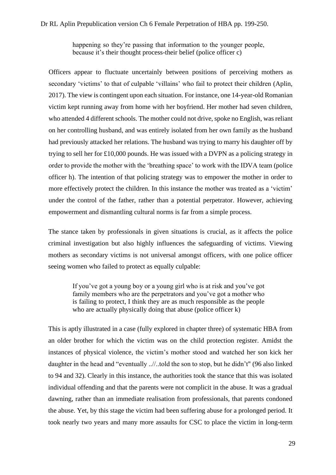happening so they're passing that information to the younger people, because it's their thought process-their belief (police officer c)

Officers appear to fluctuate uncertainly between positions of perceiving mothers as secondary 'victims' to that of culpable 'villains' who fail to protect their children (Aplin, 2017). The view is contingent upon each situation. For instance, one 14-year-old Romanian victim kept running away from home with her boyfriend. Her mother had seven children, who attended 4 different schools. The mother could not drive, spoke no English, was reliant on her controlling husband, and was entirely isolated from her own family as the husband had previously attacked her relations. The husband was trying to marry his daughter off by trying to sell her for £10,000 pounds. He was issued with a DVPN as a policing strategy in order to provide the mother with the 'breathing space' to work with the IDVA team (police officer h). The intention of that policing strategy was to empower the mother in order to more effectively protect the children. In this instance the mother was treated as a 'victim' under the control of the father, rather than a potential perpetrator. However, achieving empowerment and dismantling cultural norms is far from a simple process.

The stance taken by professionals in given situations is crucial, as it affects the police criminal investigation but also highly influences the safeguarding of victims. Viewing mothers as secondary victims is not universal amongst officers, with one police officer seeing women who failed to protect as equally culpable:

If you've got a young boy or a young girl who is at risk and you've got family members who are the perpetrators and you've got a mother who is failing to protect, I think they are as much responsible as the people who are actually physically doing that abuse (police officer k)

This is aptly illustrated in a case (fully explored in chapter three) of systematic HBA from an older brother for which the victim was on the child protection register. Amidst the instances of physical violence, the victim's mother stood and watched her son kick her daughter in the head and "eventually ..//..told the son to stop, but he didn't" (96 also linked to 94 and 32). Clearly in this instance, the authorities took the stance that this was isolated individual offending and that the parents were not complicit in the abuse. It was a gradual dawning, rather than an immediate realisation from professionals, that parents condoned the abuse. Yet, by this stage the victim had been suffering abuse for a prolonged period. It took nearly two years and many more assaults for CSC to place the victim in long-term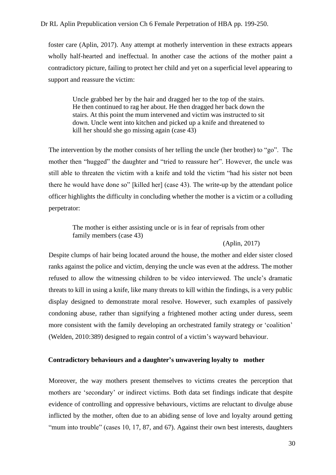#### Dr RL Aplin Prepublication version Ch 6 Female Perpetration of HBA pp. 199-250.

foster care (Aplin, 2017). Any attempt at motherly intervention in these extracts appears wholly half-hearted and ineffectual. In another case the actions of the mother paint a contradictory picture, failing to protect her child and yet on a superficial level appearing to support and reassure the victim:

Uncle grabbed her by the hair and dragged her to the top of the stairs. He then continued to rag her about. He then dragged her back down the stairs. At this point the mum intervened and victim was instructed to sit down. Uncle went into kitchen and picked up a knife and threatened to kill her should she go missing again (case 43)

The intervention by the mother consists of her telling the uncle (her brother) to "go". The mother then "hugged" the daughter and "tried to reassure her". However, the uncle was still able to threaten the victim with a knife and told the victim "had his sister not been there he would have done so" [killed her] (case 43). The write-up by the attendant police officer highlights the difficulty in concluding whether the mother is a victim or a colluding perpetrator:

The mother is either assisting uncle or is in fear of reprisals from other family members (case 43)

## (Aplin, 2017)

Despite clumps of hair being located around the house, the mother and elder sister closed ranks against the police and victim, denying the uncle was even at the address. The mother refused to allow the witnessing children to be video interviewed. The uncle's dramatic threats to kill in using a knife, like many threats to kill within the findings, is a very public display designed to demonstrate moral resolve. However, such examples of passively condoning abuse, rather than signifying a frightened mother acting under duress, seem more consistent with the family developing an orchestrated family strategy or 'coalition' (Welden, 2010:389) designed to regain control of a victim's wayward behaviour.

### **Contradictory behaviours and a daughter's unwavering loyalty to mother**

Moreover, the way mothers present themselves to victims creates the perception that mothers are 'secondary' or indirect victims. Both data set findings indicate that despite evidence of controlling and oppressive behaviours, victims are reluctant to divulge abuse inflicted by the mother, often due to an abiding sense of love and loyalty around getting "mum into trouble" (cases 10, 17, 87, and 67). Against their own best interests, daughters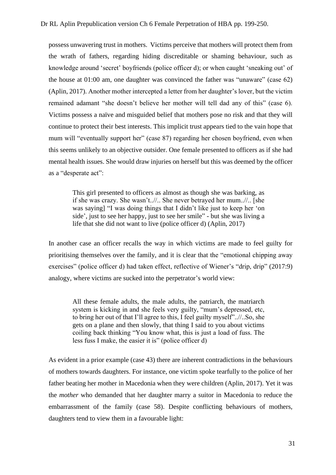possess unwavering trust in mothers. Victims perceive that mothers will protect them from the wrath of fathers, regarding hiding discreditable or shaming behaviour, such as knowledge around 'secret' boyfriends (police officer d); or when caught 'sneaking out' of the house at 01:00 am, one daughter was convinced the father was "unaware" (case 62) (Aplin, 2017). Another mother intercepted a letter from her daughter's lover, but the victim remained adamant "she doesn't believe her mother will tell dad any of this" (case 6). Victims possess a naïve and misguided belief that mothers pose no risk and that they will continue to protect their best interests. This implicit trust appears tied to the vain hope that mum will "eventually support her" (case 87) regarding her chosen boyfriend, even when this seems unlikely to an objective outsider. One female presented to officers as if she had mental health issues. She would draw injuries on herself but this was deemed by the officer as a "desperate act":

This girl presented to officers as almost as though she was barking, as if she was crazy. She wasn't..//.. She never betrayed her mum..//.. [she was saying] "I was doing things that I didn't like just to keep her 'on side', just to see her happy, just to see her smile" - but she was living a life that she did not want to live (police officer d) (Aplin, 2017)

In another case an officer recalls the way in which victims are made to feel guilty for prioritising themselves over the family, and it is clear that the "emotional chipping away exercises" (police officer d) had taken effect, reflective of Wiener's "drip, drip" (2017:9) analogy, where victims are sucked into the perpetrator's world view:

All these female adults, the male adults, the patriarch, the matriarch system is kicking in and she feels very guilty, "mum's depressed, etc, to bring her out of that I'll agree to this, I feel guilty myself"..//..So, she gets on a plane and then slowly, that thing I said to you about victims coiling back thinking "You know what, this is just a load of fuss. The less fuss I make, the easier it is" (police officer d)

As evident in a prior example (case 43) there are inherent contradictions in the behaviours of mothers towards daughters. For instance, one victim spoke tearfully to the police of her father beating her mother in Macedonia when they were children (Aplin, 2017). Yet it was the *mother* who demanded that her daughter marry a suitor in Macedonia to reduce the embarrassment of the family (case 58). Despite conflicting behaviours of mothers, daughters tend to view them in a favourable light: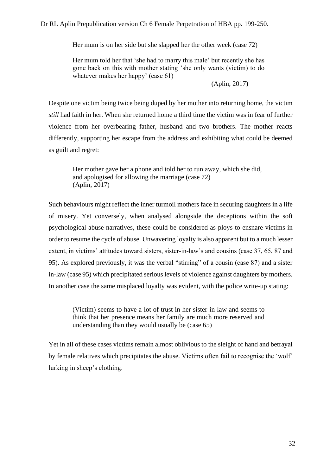Her mum is on her side but she slapped her the other week (case 72)

Her mum told her that 'she had to marry this male' but recently she has gone back on this with mother stating 'she only wants (victim) to do whatever makes her happy' (case 61)

(Aplin, 2017)

Despite one victim being twice being duped by her mother into returning home, the victim *still* had faith in her. When she returned home a third time the victim was in fear of further violence from her overbearing father, husband and two brothers. The mother reacts differently, supporting her escape from the address and exhibiting what could be deemed as guilt and regret:

Her mother gave her a phone and told her to run away, which she did, and apologised for allowing the marriage (case 72) (Aplin, 2017)

Such behaviours might reflect the inner turmoil mothers face in securing daughters in a life of misery. Yet conversely, when analysed alongside the deceptions within the soft psychological abuse narratives, these could be considered as ploys to ensnare victims in order to resume the cycle of abuse. Unwavering loyalty is also apparent but to a much lesser extent, in victims' attitudes toward sisters, sister-in-law's and cousins (case 37, 65, 87 and 95). As explored previously, it was the verbal "stirring" of a cousin (case 87) and a sister in-law (case 95) which precipitated serious levels of violence against daughters by mothers. In another case the same misplaced loyalty was evident, with the police write-up stating:

(Victim) seems to have a lot of trust in her sister-in-law and seems to think that her presence means her family are much more reserved and understanding than they would usually be (case 65)

Yet in all of these cases victims remain almost oblivious to the sleight of hand and betrayal by female relatives which precipitates the abuse. Victims often fail to recognise the 'wolf' lurking in sheep's clothing.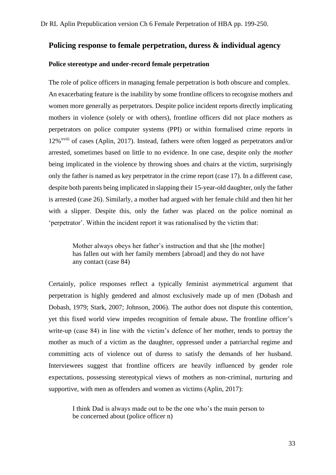## **Policing response to female perpetration, duress & individual agency**

#### **Police stereotype and under-record female perpetration**

The role of police officers in managing female perpetration is both obscure and complex. An exacerbating feature is the inability by some frontline officers to recognise mothers and women more generally as perpetrators. Despite police incident reports directly implicating mothers in violence (solely or with others), frontline officers did not place mothers as perpetrators on police computer systems (PPI) or within formalised crime reports in 12%xviii of cases (Aplin, 2017). Instead, fathers were often logged as perpetrators and/or arrested, sometimes based on little to no evidence. In one case, despite only the *mother* being implicated in the violence by throwing shoes and chairs at the victim, surprisingly only the father is named as key perpetrator in the crime report (case 17). In a different case, despite both parents being implicated in slapping their 15-year-old daughter, only the father is arrested (case 26). Similarly, a mother had argued with her female child and then hit her with a slipper. Despite this, only the father was placed on the police nominal as 'perpetrator'. Within the incident report it was rationalised by the victim that:

Mother always obeys her father's instruction and that she [the mother] has fallen out with her family members [abroad] and they do not have any contact (case 84)

Certainly, police responses reflect a typically feminist asymmetrical argument that perpetration is highly gendered and almost exclusively made up of men (Dobash and Dobash, 1979; Stark, 2007; Johnson, 2006). The author does not dispute this contention, yet this fixed world view impedes recognition of female abuse**.** The frontline officer's write-up (case 84) in line with the victim's defence of her mother, tends to portray the mother as much of a victim as the daughter, oppressed under a patriarchal regime and committing acts of violence out of duress to satisfy the demands of her husband. Interviewees suggest that frontline officers are heavily influenced by gender role expectations, possessing stereotypical views of mothers as non-criminal, nurturing and supportive, with men as offenders and women as victims (Aplin, 2017):

I think Dad is always made out to be the one who's the main person to be concerned about (police officer n)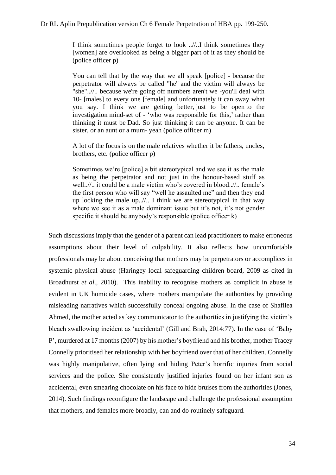I think sometimes people forget to look ..//..I think sometimes they [women] are overlooked as being a bigger part of it as they should be (police officer p)

You can tell that by the way that we all speak [police] - because the perpetrator will always be called "he" and the victim will always be "she"..//.. because we're going off numbers aren't we -you'll deal with 10- [males] to every one [female] and unfortunately it can sway what you say. I think we are getting better, just to be open to the investigation mind-set of - 'who was responsible for this,' rather than thinking it must be Dad. So just thinking it can be anyone. It can be sister, or an aunt or a mum- yeah (police officer m)

A lot of the focus is on the male relatives whether it be fathers, uncles, brothers, etc. (police officer p)

Sometimes we're [police] a bit stereotypical and we see it as the male as being the perpetrator and not just in the honour-based stuff as well..//.. it could be a male victim who's covered in blood..//.. female's the first person who will say "well he assaulted me" and then they end up locking the male up..//.. I think we are stereotypical in that way where we see it as a male dominant issue but it's not, it's not gender specific it should be anybody's responsible (police officer k)

Such discussions imply that the gender of a parent can lead practitioners to make erroneous assumptions about their level of culpability. It also reflects how uncomfortable professionals may be about conceiving that mothers may be perpetrators or accomplices in systemic physical abuse (Haringey local safeguarding children board, 2009 as cited in Broadhurst *et al*., 2010). This inability to recognise mothers as complicit in abuse is evident in UK homicide cases, where mothers manipulate the authorities by providing misleading narratives which successfully conceal ongoing abuse. In the case of Shafilea Ahmed, the mother acted as key communicator to the authorities in justifying the victim's bleach swallowing incident as 'accidental' (Gill and Brah, 2014:77). In the case of 'Baby P', murdered at 17 months (2007) by his mother's boyfriend and his brother, mother Tracey Connelly prioritised her relationship with her boyfriend over that of her children. Connelly was highly manipulative, often lying and hiding Peter's horrific injuries from social services and the police. She consistently justified injuries found on her infant son as accidental, even smearing chocolate on his face to hide bruises from the authorities (Jones, 2014). Such findings reconfigure the landscape and challenge the professional assumption that mothers, and females more broadly, can and do routinely safeguard.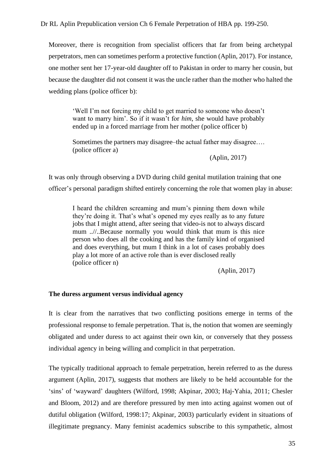Moreover, there is recognition from specialist officers that far from being archetypal perpetrators, men can sometimes perform a protective function (Aplin, 2017). For instance, one mother sent her 17-year-old daughter off to Pakistan in order to marry her cousin, but because the daughter did not consent it was the uncle rather than the mother who halted the wedding plans (police officer b):

'Well I'm not forcing my child to get married to someone who doesn't want to marry him'. So if it wasn't for *him*, she would have probably ended up in a forced marriage from her mother (police officer b)

Sometimes the partners may disagree–the actual father may disagree…. (police officer a)

(Aplin, 2017)

It was only through observing a DVD during child genital mutilation training that one officer's personal paradigm shifted entirely concerning the role that women play in abuse:

I heard the children screaming and mum's pinning them down while they're doing it. That's what's opened my eyes really as to any future jobs that I might attend, after seeing that video-is not to always discard mum ..//..Because normally you would think that mum is this nice person who does all the cooking and has the family kind of organised and does everything, but mum I think in a lot of cases probably does play a lot more of an active role than is ever disclosed really (police officer n)

(Aplin, 2017)

## **The duress argument versus individual agency**

It is clear from the narratives that two conflicting positions emerge in terms of the professional response to female perpetration. That is, the notion that women are seemingly obligated and under duress to act against their own kin, or conversely that they possess individual agency in being willing and complicit in that perpetration.

The typically traditional approach to female perpetration, herein referred to as the duress argument (Aplin, 2017), suggests that mothers are likely to be held accountable for the 'sins' of 'wayward' daughters (Wilford, 1998; Akpinar, 2003; Haj-Yahia, 2011; Chesler and Bloom, 2012) and are therefore pressured by men into acting against women out of dutiful obligation (Wilford, 1998:17; Akpinar, 2003) particularly evident in situations of illegitimate pregnancy. Many feminist academics subscribe to this sympathetic, almost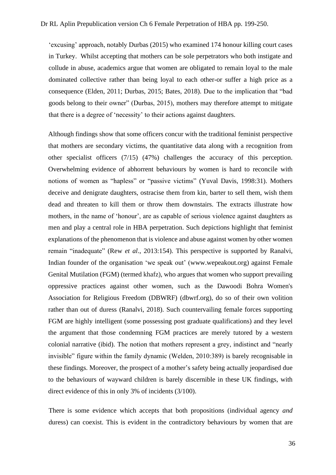'excusing' approach, notably Durbas (2015) who examined 174 honour killing court cases in Turkey. Whilst accepting that mothers can be sole perpetrators who both instigate and collude in abuse, academics argue that women are obligated to remain loyal to the male dominated collective rather than being loyal to each other-or suffer a high price as a consequence (Elden, 2011; Durbas, 2015; Bates, 2018). Due to the implication that "bad goods belong to their owner" (Durbas, 2015), mothers may therefore attempt to mitigate that there is a degree of 'necessity' to their actions against daughters.

Although findings show that some officers concur with the traditional feminist perspective that mothers are secondary victims, the quantitative data along with a recognition from other specialist officers (7/15) (47%) challenges the accuracy of this perception. Overwhelming evidence of abhorrent behaviours by women is hard to reconcile with notions of women as "hapless" or "passive victims" (Yuval Davis, 1998:31). Mothers deceive and denigrate daughters, ostracise them from kin, barter to sell them, wish them dead and threaten to kill them or throw them downstairs. The extracts illustrate how mothers, in the name of 'honour', are as capable of serious violence against daughters as men and play a central role in HBA perpetration. Such depictions highlight that feminist explanations of the phenomenon that is violence and abuse against women by other women remain "inadequate" (Rew *et al*., 2013:154). This perspective is supported by Ranalvi, Indian founder of the organisation 'we speak out' [\(www.wepeakout.org\)](http://www.wepeakout.org/) against Female Genital Mutilation (FGM) (termed khafz), who argues that women who support prevailing oppressive practices against other women, such as the Dawoodi Bohra Women's Association for Religious Freedom (DBWRF) (dbwrf.org), do so of their own volition rather than out of duress (Ranalvi, 2018). Such countervailing female forces supporting FGM are highly intelligent (some possessing post graduate qualifications) and they level the argument that those condemning FGM practices are merely tutored by a western colonial narrative (ibid). The notion that mothers represent a grey, indistinct and "nearly invisible" figure within the family dynamic (Welden, 2010:389) is barely recognisable in these findings. Moreover, the prospect of a mother's safety being actually jeopardised due to the behaviours of wayward children is barely discernible in these UK findings, with direct evidence of this in only 3% of incidents (3/100).

There is some evidence which accepts that both propositions (individual agency *and* duress) can coexist. This is evident in the contradictory behaviours by women that are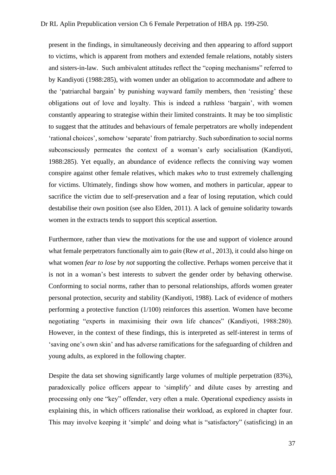present in the findings, in simultaneously deceiving and then appearing to afford support to victims, which is apparent from mothers and extended female relations, notably sisters and sisters-in-law. Such ambivalent attitudes reflect the "coping mechanisms" referred to by Kandiyoti (1988:285), with women under an obligation to accommodate and adhere to the 'patriarchal bargain' by punishing wayward family members, then 'resisting' these obligations out of love and loyalty. This is indeed a ruthless 'bargain', with women constantly appearing to strategise within their limited constraints. It may be too simplistic to suggest that the attitudes and behaviours of female perpetrators are wholly independent 'rational choices', somehow 'separate' from patriarchy. Such subordination to social norms subconsciously permeates the context of a woman's early socialisation (Kandiyoti, 1988:285). Yet equally, an abundance of evidence reflects the conniving way women conspire against other female relatives, which makes *who* to trust extremely challenging for victims. Ultimately, findings show how women, and mothers in particular, appear to sacrifice the victim due to self-preservation and a fear of losing reputation, which could destabilise their own position (see also Elden, 2011). A lack of genuine solidarity towards women in the extracts tends to support this sceptical assertion.

Furthermore, rather than view the motivations for the use and support of violence around what female perpetrators functionally aim to *gain* (Rew *et al*., 2013), it could also hinge on what women *fear to lose* by *not* supporting the collective. Perhaps women perceive that it is not in a woman's best interests to subvert the gender order by behaving otherwise. Conforming to social norms, rather than to personal relationships, affords women greater personal protection, security and stability (Kandiyoti, 1988). Lack of evidence of mothers performing a protective function (1/100) reinforces this assertion. Women have become negotiating "experts in maximising their own life chances" (Kandiyoti, 1988:280). However, in the context of these findings, this is interpreted as self-interest in terms of 'saving one's own skin' and has adverse ramifications for the safeguarding of children and young adults, as explored in the following chapter.

Despite the data set showing significantly large volumes of multiple perpetration (83%), paradoxically police officers appear to 'simplify' and dilute cases by arresting and processing only one "key" offender, very often a male. Operational expediency assists in explaining this, in which officers rationalise their workload, as explored in chapter four. This may involve keeping it 'simple' and doing what is "satisfactory" (satisficing) in an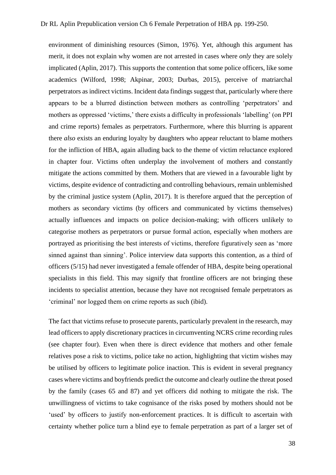environment of diminishing resources (Simon, 1976). Yet, although this argument has merit, it does not explain why women are not arrested in cases where *only* they are solely implicated (Aplin, 2017). This supports the contention that some police officers, like some academics (Wilford, 1998; Akpinar, 2003; Durbas, 2015), perceive of matriarchal perpetrators as indirect victims. Incident data findings suggest that, particularly where there appears to be a blurred distinction between mothers as controlling 'perpetrators' and mothers as oppressed 'victims,' there exists a difficulty in professionals 'labelling' (on PPI and crime reports) females as perpetrators. Furthermore, where this blurring is apparent there *also* exists an enduring loyalty by daughters who appear reluctant to blame mothers for the infliction of HBA, again alluding back to the theme of victim reluctance explored in chapter four. Victims often underplay the involvement of mothers and constantly mitigate the actions committed by them. Mothers that are viewed in a favourable light by victims, despite evidence of contradicting and controlling behaviours, remain unblemished by the criminal justice system (Aplin, 2017). It is therefore argued that the perception of mothers as secondary victims (by officers and communicated by victims themselves) actually influences and impacts on police decision-making; with officers unlikely to categorise mothers as perpetrators or pursue formal action, especially when mothers are portrayed as prioritising the best interests of victims, therefore figuratively seen as 'more sinned against than sinning'. Police interview data supports this contention, as a third of officers (5/15) had never investigated a female offender of HBA, despite being operational specialists in this field. This may signify that frontline officers are not bringing these incidents to specialist attention, because they have not recognised female perpetrators as 'criminal' nor logged them on crime reports as such (ibid).

The fact that victims refuse to prosecute parents, particularly prevalent in the research, may lead officers to apply discretionary practices in circumventing NCRS crime recording rules (see chapter four). Even when there is direct evidence that mothers and other female relatives pose a risk to victims, police take no action, highlighting that victim wishes may be utilised by officers to legitimate police inaction. This is evident in several pregnancy cases where victims and boyfriends predict the outcome and clearly outline the threat posed by the family (cases 65 and 87) and yet officers did nothing to mitigate the risk. The unwillingness of victims to take cognisance of the risks posed by mothers should not be 'used' by officers to justify non-enforcement practices. It is difficult to ascertain with certainty whether police turn a blind eye to female perpetration as part of a larger set of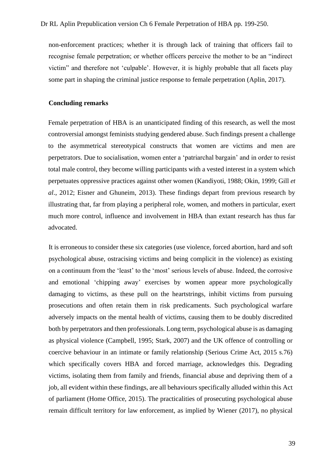non-enforcement practices; whether it is through lack of training that officers fail to recognise female perpetration; or whether officers perceive the mother to be an "indirect victim" and therefore not 'culpable'. However, it is highly probable that all facets play some part in shaping the criminal justice response to female perpetration (Aplin, 2017).

## **Concluding remarks**

Female perpetration of HBA is an unanticipated finding of this research, as well the most controversial amongst feminists studying gendered abuse. Such findings present a challenge to the asymmetrical stereotypical constructs that women are victims and men are perpetrators. Due to socialisation, women enter a 'patriarchal bargain' and in order to resist total male control, they become willing participants with a vested interest in a system which perpetuates oppressive practices against other women (Kandiyoti, 1988; Okin, 1999; Gill *et al*., 2012; Eisner and Ghuneim, 2013). These findings depart from previous research by illustrating that, far from playing a peripheral role, women, and mothers in particular, exert much more control, influence and involvement in HBA than extant research has thus far advocated.

It is erroneous to consider these six categories (use violence, forced abortion, hard and soft psychological abuse, ostracising victims and being complicit in the violence) as existing on a continuum from the 'least' to the 'most' serious levels of abuse. Indeed, the corrosive and emotional 'chipping away' exercises by women appear more psychologically damaging to victims, as these pull on the heartstrings, inhibit victims from pursuing prosecutions and often retain them in risk predicaments. Such psychological warfare adversely impacts on the mental health of victims, causing them to be doubly discredited both by perpetrators and then professionals. Long term, psychological abuse is as damaging as physical violence (Campbell, 1995; Stark, 2007) and the UK offence of controlling or coercive behaviour in an intimate or family relationship (Serious Crime Act, 2015 s.76) which specifically covers HBA and forced marriage, acknowledges this. Degrading victims, isolating them from family and friends, financial abuse and depriving them of a job, all evident within these findings, are all behaviours specifically alluded within this Act of parliament (Home Office, 2015). The practicalities of prosecuting psychological abuse remain difficult territory for law enforcement, as implied by Wiener (2017), no physical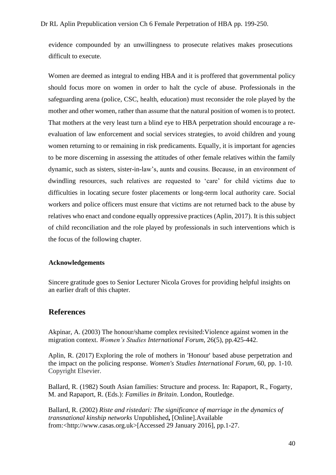evidence compounded by an unwillingness to prosecute relatives makes prosecutions difficult to execute.

Women are deemed as integral to ending HBA and it is proffered that governmental policy should focus more on women in order to halt the cycle of abuse. Professionals in the safeguarding arena (police, CSC, health, education) must reconsider the role played by the mother and other women, rather than assume that the natural position of women is to protect. That mothers at the very least turn a blind eye to HBA perpetration should encourage a reevaluation of law enforcement and social services strategies, to avoid children and young women returning to or remaining in risk predicaments. Equally, it is important for agencies to be more discerning in assessing the attitudes of other female relatives within the family dynamic, such as sisters, sister-in-law's, aunts and cousins. Because, in an environment of dwindling resources, such relatives are requested to 'care' for child victims due to difficulties in locating secure foster placements or long-term local authority care. Social workers and police officers must ensure that victims are not returned back to the abuse by relatives who enact and condone equally oppressive practices (Aplin, 2017). It is this subject of child reconciliation and the role played by professionals in such interventions which is the focus of the following chapter.

## **Acknowledgements**

Sincere gratitude goes to Senior Lecturer Nicola Groves for providing helpful insights on an earlier draft of this chapter.

## **References**

Akpinar, A. (2003) The honour/shame complex revisited:Violence against women in the migration context. *Women's Studies International Forum*, 26(5), pp.425-442.

Aplin, R. (2017) Exploring the role of mothers in 'Honour' based abuse perpetration and the impact on the policing response. *Women's Studies International Forum,* 60, pp. 1-10. Copyright Elsevier.

Ballard, R. (1982) South Asian families: Structure and process. In: Rapaport, R., Fogarty, M. and Rapaport, R. (Eds.): *Families in Britain*. London, Routledge.

Ballard, R. (2002) *Riste and ristedari: The significance of marriage in the dynamics of transnational kinship networks* Unpublished**,** [Online].Available from:[<http://www.casas.org.uk>](http://www.casas.org.uk/)[Accessed 29 January 2016], pp.1-27.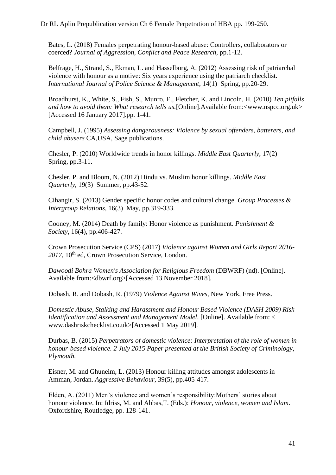Dr RL Aplin Prepublication version Ch 6 Female Perpetration of HBA pp. 199-250.

Bates, L. (2018) Females perpetrating honour-based abuse: Controllers, collaborators or coerced? *Journal of Aggression, Conflict and Peace Research*, pp.1-12.

Belfrage, H., Strand, S., Ekman, L. and Hasselborg, A. (2012) Assessing risk of patriarchal violence with honour as a motive: Six years experience using the patriarch checklist. *International Journal of Police Science & Management*, 14(1) Spring, pp.20-29.

Broadhurst, K., White, S., Fish, S., Munro, E., Fletcher, K. and Lincoln, H. (2010) *Ten pitfalls and how to avoid them: What research tells us.*[Online].Available from:[<www.nspcc.org.uk>](http://www.nspcc.org.uk/) [Accessed 16 January 2017].pp. 1-41.

Campbell, J. (1995) *Assessing dangerousness: Violence by sexual offenders, batterers, and child abusers* CA,USA, Sage publications.

Chesler, P. (2010) Worldwide trends in honor killings. *Middle East Quarterly*, 17(2) Spring, pp.3-11.

Chesler, P. and Bloom, N. (2012) Hindu vs. Muslim honor killings. *Middle East Quarterly*, 19(3) Summer, pp.43-52.

Cihangir, S. (2013) Gender specific honor codes and cultural change. *Group Processes & Intergroup Relations*, 16(3) May, pp.319-333.

Cooney, M. (2014) Death by family: Honor violence as punishment. *Punishment & Society*, 16(4), pp.406-427.

Crown Prosecution Service (CPS) (2017) *Violence against Women and Girls Report 2016-* 2017, 10<sup>th</sup> ed, Crown Prosecution Service, London.

*Dawoodi Bohra Women's Association for Religious Freedom* (DBWRF) (nd). [Online]. Available from:<dbwrf.org>[Accessed 13 November 2018].

Dobash, R. and Dobash, R. (1979) *Violence Against Wives*, New York, Free Press.

*Domestic Abuse, Stalking and Harassment and Honour Based Violence (DASH 2009) Risk Identification and Assessment and Management Model*. [Online]. Available from: < www.dashriskchecklist.co.uk>[Accessed 1 May 2019].

Durbas, B. (2015) *Perpetrators of domestic violence: Interpretation of the role of women in honour-based violence. 2 July 2015 Paper presented at the British Society of Criminology*, *Plymouth.*

Eisner, M. and Ghuneim, L. (2013) Honour killing attitudes amongst adolescents in Amman, Jordan. *Aggressive Behaviour*, 39(5), pp.405-417.

Elden, A. (2011) Men's violence and women's responsibility:Mothers' stories about honour violence. In: Idriss, M. and Abbas,T. (Eds.): *Honour, violence, women and Islam*. Oxfordshire, Routledge, pp. 128-141.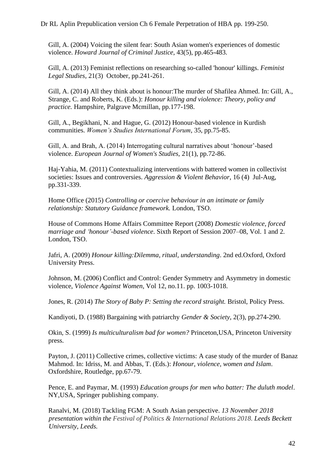Gill, A. (2004) Voicing the silent fear: South Asian women's experiences of domestic violence. *Howard Journal of Criminal Justice*, 43(5), pp.465-483.

Gill, A. (2013) Feminist reflections on researching so-called 'honour' killings. *Feminist Legal Studies,* 21(3) October, pp.241-261.

Gill, A. (2014) All they think about is honour:The murder of Shafilea Ahmed. In: Gill, A., Strange, C. and Roberts, K. (Eds.): *Honour killing and violence: Theory, policy and practice.* Hampshire, Palgrave Mcmillan, pp.177-198.

Gill, A., Begikhani, N. and Hague, G. (2012) Honour-based violence in Kurdish communities. *Women's Studies International Forum*, 35, pp.75-85.

Gill, A. and Brah, A. (2014) Interrogating cultural narratives about 'honour'-based violence. *European Journal of Women's Studies,* 21(1), pp.72-86.

Haj-Yahia, M. (2011) Contextualizing interventions with battered women in collectivist societies: Issues and controversies. *Aggression & Violent Behavior*, 16 (4) Jul-Aug, pp.331-339.

Home Office (2015) *Controlling or coercive behaviour in an intimate or family relationship: Statutory Guidance framework.* London, TSO.

House of Commons Home Affairs Committee Report (2008) *Domestic violence, forced marriage and 'honour'-based violence*. Sixth Report of Session 2007–08, Vol. 1 and 2. London, TSO.

Jafri, A. (2009) *Honour killing:Dilemma, ritual, understanding*. 2nd ed.Oxford, Oxford University Press.

Johnson, M. (2006) Conflict and Control: Gender Symmetry and Asymmetry in domestic violence, *Violence Against Women*, Vol 12, no.11. pp. 1003-1018.

Jones, R. (2014) *The Story of Baby P: Setting the record straight.* Bristol, Policy Press.

Kandiyoti, D. (1988) Bargaining with patriarchy *Gender & Society*, 2(3), pp.274-290.

Okin, S. (1999) *Is multiculturalism bad for women?* Princeton,USA, Princeton University press.

Payton, J. (2011) Collective crimes, collective victims: A case study of the murder of Banaz Mahmod. In: Idriss, M. and Abbas, T. (Eds.): *Honour, violence, women and Islam*. Oxfordshire, Routledge, pp.67-79.

Pence, E. and Paymar, M. (1993) *Education groups for men who batter: The duluth model*. NY,USA, Springer publishing company.

Ranalvi, M. (2018) Tackling FGM: A South Asian perspective. *13 November 2018 presentation within the Festival of Politics & International Relations 2018. Leeds Beckett University, Leeds.*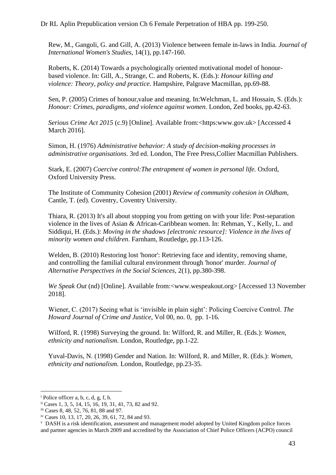Dr RL Aplin Prepublication version Ch 6 Female Perpetration of HBA pp. 199-250.

Rew, M., Gangoli, G. and Gill, A. (2013) Violence between female in-laws in India. *Journal of International Women's Studies*, 14(1), pp.147-160.

Roberts, K. (2014) Towards a psychologically oriented motivational model of honourbased violence. In: Gill, A., Strange, C. and Roberts, K. (Eds.): *Honour killing and violence: Theory, policy and practice.* Hampshire, Palgrave Macmillan, pp.69-88.

Sen, P. (2005) Crimes of honour,value and meaning. In:Welchman, L. and Hossain, S. (Eds.): *Honour: Crimes, paradigms, and violence against women.* London, Zed books, pp.42-63.

*Serious Crime Act 2015* (c.9) [Online]. Available from:<https:www.gov.uk> [Accessed 4] March 2016].

Simon, H. (1976) *Administrative behavior: A study of decision-making processes in administrative organisations*. 3rd ed. London, The Free Press,Collier Macmillan Publishers.

Stark, E. (2007) *Coercive control:The entrapment of women in personal life.* Oxford, Oxford University Press.

The Institute of Community Cohesion (2001) *Review of community cohesion in Oldham,* Cantle, T. (ed). Coventry, Coventry University.

Thiara, R. (2013) It's all about stopping you from getting on with your life: Post-separation violence in the lives of Asian & African-Caribbean women. In: Rehman, Y., Kelly, L. and Siddiqui, H. (Eds.): *Moving in the shadows [electronic resource]: Violence in the lives of minority women and children*. Farnham, Routledge, pp.113-126.

Welden, B. (2010) Restoring lost 'honor': Retrieving face and identity, removing shame, and controlling the familial cultural environment through 'honor' murder. *Journal of Alternative Perspectives in the Social Sciences,* 2(1), pp.380-398.

*We Speak Out* (nd) [Online]. Available from:<www.wespeakout.org> [Accessed 13 November 2018].

Wiener, C. (2017) Seeing what is 'invisible in plain sight': Policing Coercive Control. *The Howard Journal of Crime and Justice,* Vol 00, no. 0, pp. 1-16.

Wilford, R. (1998) Surveying the ground. In: Wilford, R. and Miller, R. (Eds.): *Women, ethnicity and nationalism.* London, Routledge, pp.1-22.

Yuval-Davis, N. (1998) Gender and Nation. In: Wilford, R. and Miller, R. (Eds.): *Women, ethnicity and nationalism.* London, Routledge, pp.23-35.

 $\dot{P}$  Police officer a, b, c, d, g, f, h.

ii Cases 1, 3, 5, 14, 15, 16, 19, 31, 41, 73, 82 and 92.

iii Cases 8, 48, 52, 76, 81, 88 and 97.

iv Cases 10, 13, 17, 20, 26, 39, 61, 72, 84 and 93.

v DASH is a risk identification, assessment and management model adopted by United Kingdom police forces and partner agencies in March 2009 and accredited by the Association of Chief Police Officers (ACPO) council